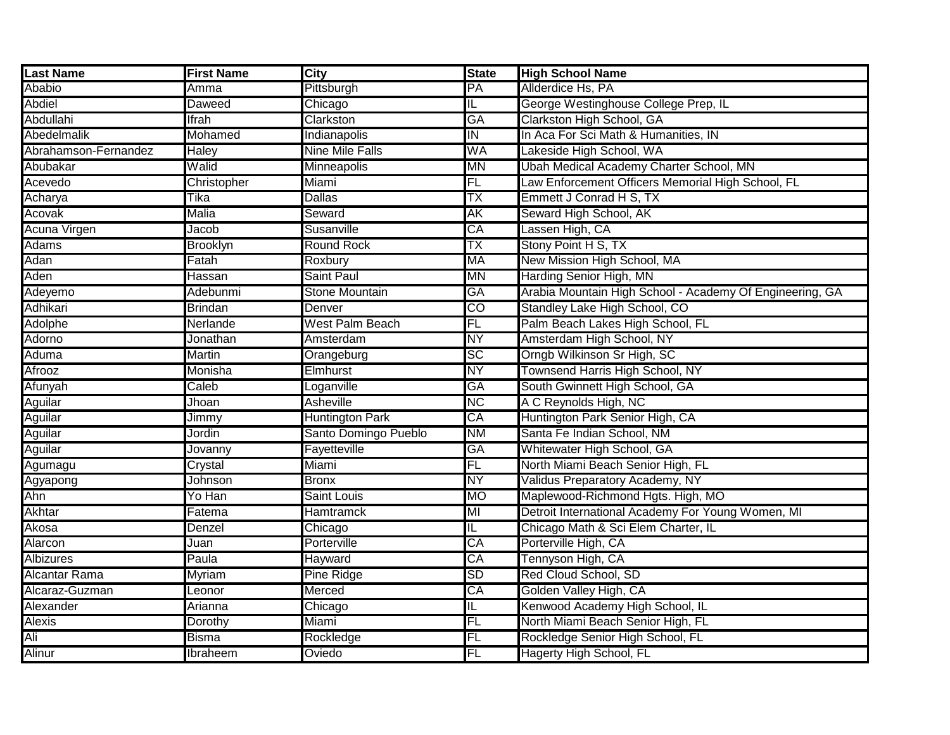| Last Name            | <b>First Name</b> | <b>City</b>            | <b>State</b> | <b>High School Name</b>                                  |
|----------------------|-------------------|------------------------|--------------|----------------------------------------------------------|
| Ababio               | Amma              | Pittsburgh             | PA           | Allderdice Hs, PA                                        |
| <b>Abdiel</b>        | <b>Daweed</b>     | Chicago                | IL           | George Westinghouse College Prep, IL                     |
| Abdullahi            | <b>Ifrah</b>      | Clarkston              | GA           | Clarkston High School, GA                                |
| Abedelmalik          | Mohamed           | Indianapolis           | IN           | In Aca For Sci Math & Humanities, IN                     |
| Abrahamson-Fernandez | <b>Haley</b>      | <b>Nine Mile Falls</b> | WA           | Lakeside High School, WA                                 |
| Abubakar             | Walid             | Minneapolis            | ΜN           | Ubah Medical Academy Charter School, MN                  |
| Acevedo              | Christopher       | Miami                  | FL           | Law Enforcement Officers Memorial High School, FL        |
| Acharya              | Tika              | <b>Dallas</b>          | TΧ           | Emmett J Conrad H S, TX                                  |
| Acovak               | <b>Malia</b>      | Seward                 | AΚ           | Seward High School, AK                                   |
| Acuna Virgen         | Jacob             | Susanville             | CA           | Lassen High, CA                                          |
| <b>Adams</b>         | <b>Brooklyn</b>   | <b>Round Rock</b>      | TX           | Stony Point H S, TX                                      |
| Adan                 | Fatah             | Roxbury                | <b>MA</b>    | New Mission High School, MA                              |
| Aden                 | Hassan            | <b>Saint Paul</b>      | <b>MN</b>    | Harding Senior High, MN                                  |
| Adeyemo              | Adebunmi          | <b>Stone Mountain</b>  | GA           | Arabia Mountain High School - Academy Of Engineering, GA |
| Adhikari             | <b>Brindan</b>    | Denver                 | CO           | Standley Lake High School, CO                            |
| Adolphe              | Nerlande          | <b>West Palm Beach</b> | FL           | Palm Beach Lakes High School, FL                         |
| Adorno               | Jonathan          | Amsterdam              | <b>NY</b>    | Amsterdam High School, NY                                |
| Aduma                | <b>Martin</b>     | Orangeburg             | <b>SC</b>    | Orngb Wilkinson Sr High, SC                              |
| Afrooz               | Monisha           | Elmhurst               | <b>NY</b>    | Townsend Harris High School, NY                          |
| Afunyah              | Caleb             | Loganville             | GA           | South Gwinnett High School, GA                           |
| Aguilar              | Jhoan             | <b>Asheville</b>       | <b>NC</b>    | A C Reynolds High, NC                                    |
| <b>Aguilar</b>       | Jimmy             | <b>Huntington Park</b> | CA           | Huntington Park Senior High, CA                          |
| Aguilar              | Jordin            | Santo Domingo Pueblo   | <b>NM</b>    | Santa Fe Indian School, NM                               |
| Aguilar              | <b>Jovanny</b>    | Fayetteville           | GA           | Whitewater High School, GA                               |
| Agumagu              | Crystal           | Miami                  | FL           | North Miami Beach Senior High, FL                        |
| Agyapong             | Johnson           | <b>Bronx</b>           | <b>NY</b>    | Validus Preparatory Academy, NY                          |
| Ahn                  | Yo Han            | <b>Saint Louis</b>     | <b>MO</b>    | Maplewood-Richmond Hgts. High, MO                        |
| <b>Akhtar</b>        | Fatema            | Hamtramck              | MI           | Detroit International Academy For Young Women, MI        |
| Akosa                | Denzel            | Chicago                | IL           | Chicago Math & Sci Elem Charter, IL                      |
| Alarcon              | Juan              | Porterville            | CA           | Porterville High, CA                                     |
| <b>Albizures</b>     | Paula             | Hayward                | CA           | Tennyson High, CA                                        |
| <b>Alcantar Rama</b> | Myriam            | Pine Ridge             | <b>SD</b>    | Red Cloud School, SD                                     |
| Alcaraz-Guzman       | Leonor            | Merced                 | СA           | Golden Valley High, CA                                   |
| Alexander            | Arianna           | Chicago                | IL           | Kenwood Academy High School, IL                          |
| Alexis               | Dorothy           | Miami                  | FL           | North Miami Beach Senior High, FL                        |
| Ali                  | <b>Bisma</b>      | Rockledge              | FL           | Rockledge Senior High School, FL                         |
| Alinur               | Ibraheem          | Oviedo                 | FL           | <b>Hagerty High School, FL</b>                           |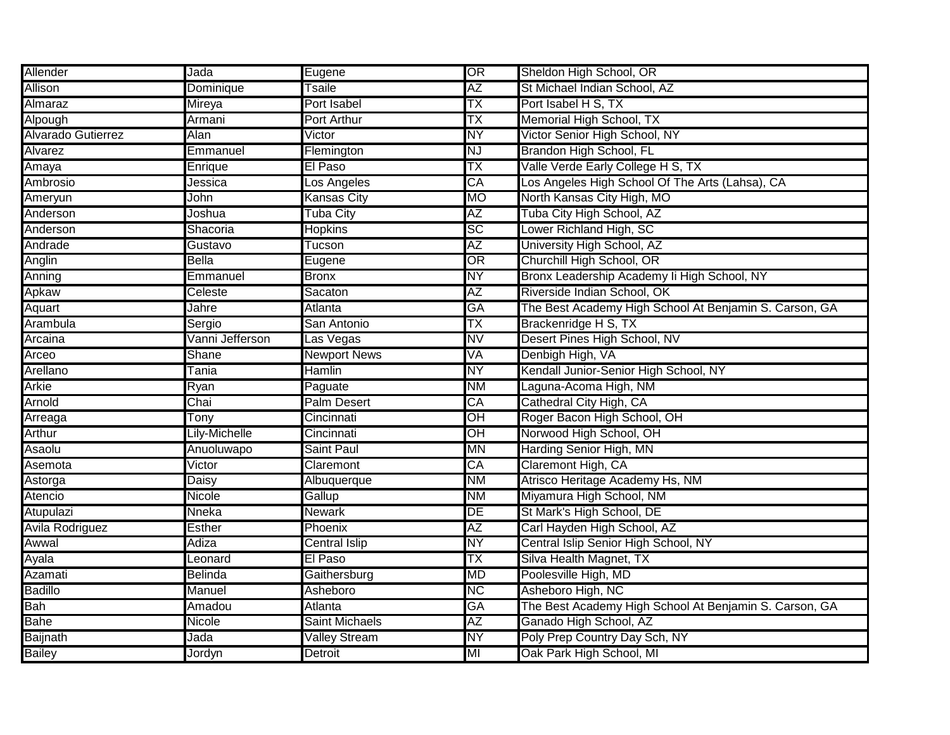| Allender           | Jada            | Eugene                | $\overline{\text{OR}}$ | Sheldon High School, OR                                |
|--------------------|-----------------|-----------------------|------------------------|--------------------------------------------------------|
| <b>Allison</b>     | Dominique       | Tsaile                | AΖ                     | St Michael Indian School, AZ                           |
| Almaraz            | Mireya          | <b>Port Isabel</b>    | ТX                     | Port Isabel H S, TX                                    |
| Alpough            | Armani          | <b>Port Arthur</b>    | ТX                     | Memorial High School, TX                               |
| Alvarado Gutierrez | <b>Alan</b>     | Victor                | NΥ                     | Victor Senior High School, NY                          |
| Alvarez            | Emmanuel        | Flemington            | <b>NJ</b>              | Brandon High School, FL                                |
| Amaya              | Enrique         | El Paso               | ТX                     | Valle Verde Early College H S, TX                      |
| Ambrosio           | Jessica         | Los Angeles           | CA                     | Los Angeles High School Of The Arts (Lahsa), CA        |
| <b>Ameryun</b>     | John            | Kansas City           | <b>MO</b>              | North Kansas City High, MO                             |
| Anderson           | Joshua          | <b>Tuba City</b>      | AΖ                     | Tuba City High School, AZ                              |
| Anderson           | Shacoria        | <b>Hopkins</b>        | <b>SC</b>              | Lower Richland High, SC                                |
| Andrade            | Gustavo         | Tucson                | AZ                     | University High School, AZ                             |
| Anglin             | <b>Bella</b>    | Eugene                | OR                     | Churchill High School, OR                              |
| Anning             | Emmanuel        | <b>Bronx</b>          | <b>NY</b>              | Bronx Leadership Academy li High School, NY            |
| Apkaw              | Celeste         | Sacaton               | ΑZ                     | Riverside Indian School, OK                            |
| Aquart             | Jahre           | <b>Atlanta</b>        | GA                     | The Best Academy High School At Benjamin S. Carson, GA |
| Arambula           | Sergio          | San Antonio           | TX                     | Brackenridge H S, TX                                   |
| Arcaina            | Vanni Jefferson | Las Vegas             | NV                     | Desert Pines High School, NV                           |
| Arceo              | Shane           | <b>Newport News</b>   | VA                     | Denbigh High, VA                                       |
| Arellano           | Tania           | <b>Hamlin</b>         | <b>NY</b>              | Kendall Junior-Senior High School, NY                  |
| <b>Arkie</b>       | Ryan            | Paguate               | <b>NM</b>              | Laguna-Acoma High, NM                                  |
| Arnold             | Chai            | <b>Palm Desert</b>    | CA                     | Cathedral City High, CA                                |
| Arreaga            | Tonv            | Cincinnati            | OH                     | Roger Bacon High School, OH                            |
| Arthur             | Lily-Michelle   | Cincinnati            | $\overline{O}$ H       | Norwood High School, OH                                |
| Asaolu             | Anuoluwapo      | Saint Paul            | ΜN                     | Harding Senior High, MN                                |
| Asemota            | Victor          | Claremont             | CA                     | Claremont High, CA                                     |
| Astorga            | <b>Daisy</b>    | Albuquerque           | <b>NM</b>              | Atrisco Heritage Academy Hs, NM                        |
| Atencio            | Nicole          | Gallup                | <b>NM</b>              | Miyamura High School, NM                               |
| Atupulazi          | Nneka           | Newark                | DE                     | St Mark's High School, DE                              |
| Avila Rodriguez    | <b>Esther</b>   | Phoenix               | AΖ                     | Carl Hayden High School, AZ                            |
| Awwal              | Adiza           | Central Islip         | <b>NY</b>              | Central Islip Senior High School, NY                   |
| Ayala              | Leonard         | El Paso               | ТX                     | Silva Health Magnet, TX                                |
| Azamati            | Belinda         | Gaithersburg          | MD                     | Poolesville High, MD                                   |
| <b>Badillo</b>     | Manuel          | Asheboro              | <b>NC</b>              | Asheboro High, NC                                      |
| Bah                | Amadou          | Atlanta               | <b>GA</b>              | The Best Academy High School At Benjamin S. Carson, GA |
| <b>Bahe</b>        | Nicole          | <b>Saint Michaels</b> | AΖ                     | Ganado High School, AZ                                 |
| <b>Baijnath</b>    | Jada            | <b>Valley Stream</b>  | <b>NY</b>              | Poly Prep Country Day Sch, NY                          |
| <b>Bailey</b>      | Jordyn          | Detroit               | MI                     | Oak Park High School, MI                               |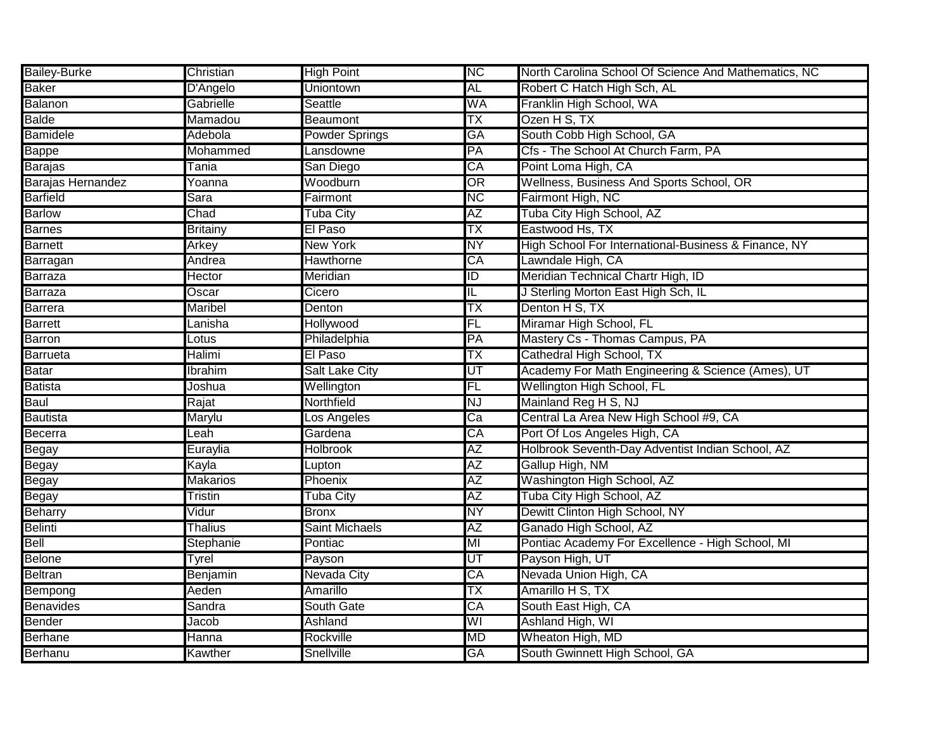| <b>Bailey-Burke</b> | Christian       | <b>High Point</b>     | <b>NC</b>               | North Carolina School Of Science And Mathematics, NC |
|---------------------|-----------------|-----------------------|-------------------------|------------------------------------------------------|
| <b>Baker</b>        | D'Angelo        | Uniontown             | AL                      | Robert C Hatch High Sch, AL                          |
| <b>Balanon</b>      | Gabrielle       | <b>Seattle</b>        | WA                      | Franklin High School, WA                             |
| <b>Balde</b>        | Mamadou         | <b>Beaumont</b>       | ТX                      | Ozen H S, TX                                         |
| <b>Bamidele</b>     | Adebola         | <b>Powder Springs</b> | GA                      | South Cobb High School, GA                           |
| <b>Bappe</b>        | Mohammed        | Lansdowne             | PA                      | Cfs - The School At Church Farm, PA                  |
| <b>Barajas</b>      | <b>Tania</b>    | San Diego             | СA                      | Point Loma High, CA                                  |
| Barajas Hernandez   | Yoanna          | Woodburn              | OR                      | Wellness, Business And Sports School, OR             |
| <b>Barfield</b>     | Sara            | Fairmont              | <b>NC</b>               | Fairmont High, NC                                    |
| <b>Barlow</b>       | Chad            | Tuba City             | AΖ                      | Tuba City High School, AZ                            |
| <b>Barnes</b>       | <b>Britainy</b> | El Paso               | TΧ                      | Eastwood Hs, TX                                      |
| <b>Barnett</b>      | Arkey           | <b>New York</b>       | <b>NY</b>               | High School For International-Business & Finance, NY |
| Barragan            | Andrea          | Hawthorne             | CA                      | Lawndale High, CA                                    |
| <b>Barraza</b>      | Hector          | Meridian              | $\overline{\mathbb{D}}$ | Meridian Technical Chartr High, ID                   |
| Barraza             | Oscar           | Cicero                | π                       | J Sterling Morton East High Sch, IL                  |
| <b>Barrera</b>      | Maribel         | Denton                | ТX                      | Denton H S, TX                                       |
| <b>Barrett</b>      | Lanisha         | <b>Hollywood</b>      | FL                      | Miramar High School, FL                              |
| <b>Barron</b>       | Lotus           | Philadelphia          | PA                      | Mastery Cs - Thomas Campus, PA                       |
| <b>Barrueta</b>     | Halimi          | El Paso               | ΤX                      | Cathedral High School, TX                            |
| <b>Batar</b>        | Ibrahim         | <b>Salt Lake City</b> | UT                      | Academy For Math Engineering & Science (Ames), UT    |
| <b>Batista</b>      | Joshua          | Wellington            | FL                      | <b>Wellington High School, FL</b>                    |
| <b>Baul</b>         | Rajat           | Northfield            | NJ                      | Mainland Reg H S, NJ                                 |
| Bautista            | Marylu          | Los Angeles           | Ca                      | Central La Area New High School #9, CA               |
| Becerra             | Leah            | Gardena               | CA                      | Port Of Los Angeles High, CA                         |
| <b>Begay</b>        | Euraylia        | <b>Holbrook</b>       | ΑZ                      | Holbrook Seventh-Day Adventist Indian School, AZ     |
| Begay               | Kayla           | Lupton                | AΖ                      | Gallup High, NM                                      |
| <b>Begay</b>        | <b>Makarios</b> | Phoenix               | AΖ                      | Washington High School, AZ                           |
| Begay               | <b>Tristin</b>  | Tuba City             | AΖ                      | Tuba City High School, AZ                            |
| <b>Beharry</b>      | Vidur           | Bronx                 | NY                      | Dewitt Clinton High School, NY                       |
| <b>Belinti</b>      | Thalius         | <b>Saint Michaels</b> | AΖ                      | Ganado High School, AZ                               |
| Bell                | Stephanie       | Pontiac               | MI                      | Pontiac Academy For Excellence - High School, MI     |
| Belone              | Tyrel           | Payson                | UT                      | Payson High, UT                                      |
| <b>Beltran</b>      | Benjamin        | Nevada City           | CA                      | Nevada Union High, CA                                |
| <b>Bempong</b>      | Aeden           | Amarillo              | ТX                      | Amarillo H S, TX                                     |
| <b>Benavides</b>    | Sandra          | South Gate            | CA                      | South East High, CA                                  |
| Bender              | Jacob           | Ashland               | WI                      | Ashland High, WI                                     |
| <b>Berhane</b>      | Hanna           | Rockville             | <b>MD</b>               | Wheaton High, MD                                     |
| Berhanu             | Kawther         | Snellville            | GA                      | South Gwinnett High School, GA                       |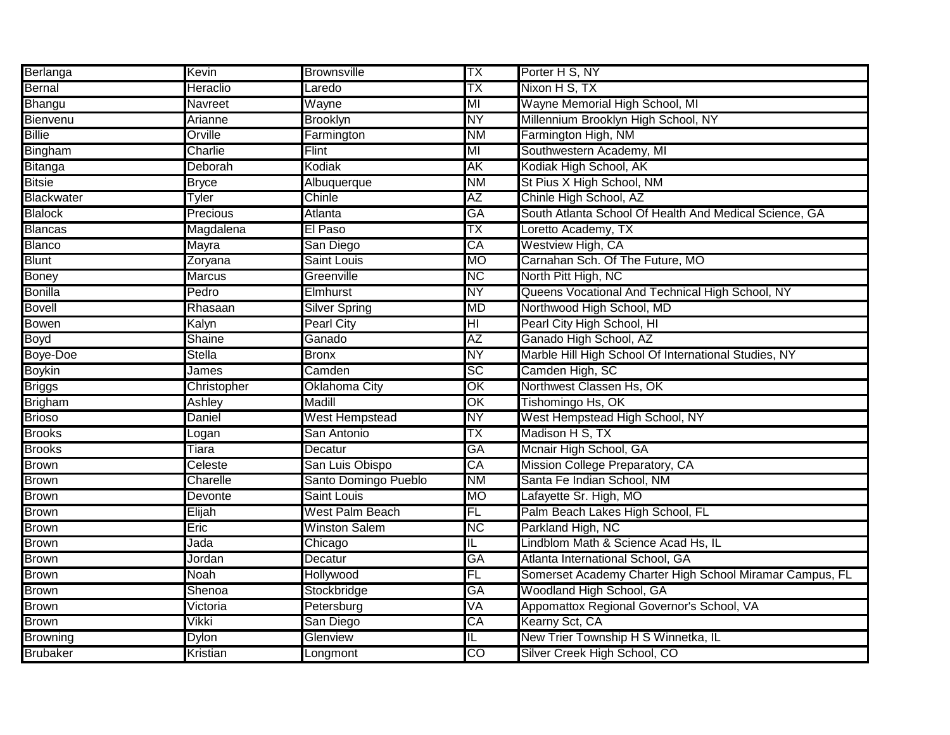| Berlanga        | Kevin           | <b>Brownsville</b>   | ТX                                | Porter H S, NY                                          |
|-----------------|-----------------|----------------------|-----------------------------------|---------------------------------------------------------|
| Bernal          | Heraclio        | _aredo               | ТX                                | Nixon H S, TX                                           |
| Bhangu          | Navreet         | Wayne                | MI                                | Wayne Memorial High School, MI                          |
| Bienvenu        | Arianne         | <b>Brooklyn</b>      | NY                                | Millennium Brooklyn High School, NY                     |
| <b>Billie</b>   | Orville         | Farmington           | ΝM                                | Farmington High, NM                                     |
| Bingham         | Charlie         | Flint                | MI                                | Southwestern Academy, MI                                |
| Bitanga         | Deborah         | Kodiak               | AΚ                                | Kodiak High School, AK                                  |
| <b>Bitsie</b>   | <b>Bryce</b>    | Albuquerque          | <b>NM</b>                         | St Pius X High School, NM                               |
| Blackwater      | Tyler           | Chinle               | $\overline{AZ}$                   | Chinle High School, AZ                                  |
| <b>Blalock</b>  | Precious        | <b>Atlanta</b>       | GA                                | South Atlanta School Of Health And Medical Science, GA  |
| <b>Blancas</b>  | Magdalena       | El Paso              | ТX                                | Loretto Academy, TX                                     |
| <b>Blanco</b>   | Mayra           | San Diego            | CA                                | Westview High, CA                                       |
| <b>Blunt</b>    | Zoryana         | <b>Saint Louis</b>   | <b>MO</b>                         | Carnahan Sch. Of The Future, MO                         |
| <b>Boney</b>    | <b>Marcus</b>   | Greenville           | NС                                | North Pitt High, NC                                     |
| <b>Bonilla</b>  | Pedro           | Elmhurst             | NΥ                                | Queens Vocational And Technical High School, NY         |
| Bovell          | Rhasaan         | Silver Spring        | MD                                | Northwood High School, MD                               |
| <b>Bowen</b>    | Kalyn           | <b>Pearl City</b>    | $\overline{\mathsf{H}\mathsf{I}}$ | Pearl City High School, HI                              |
| <b>Boyd</b>     | Shaine          | Ganado               | AΖ                                | Ganado High School, AZ                                  |
| Boye-Doe        | <b>Stella</b>   | <b>Bronx</b>         | NY                                | Marble Hill High School Of International Studies, NY    |
| <b>Boykin</b>   | James           | Camden               | SC                                | Camden High, SC                                         |
| <b>Briggs</b>   | Christopher     | <b>Oklahoma City</b> | $\overline{\text{OK}}$            | Northwest Classen Hs, OK                                |
| <b>Brigham</b>  | Ashley          | Madill               | $\overline{\text{OK}}$            | Tishomingo Hs, OK                                       |
| <b>Brioso</b>   | Daniel          | West Hempstead       | NΥ                                | West Hempstead High School, NY                          |
| <b>Brooks</b>   | Logan           | San Antonio          | ТX                                | Madison H S, TX                                         |
| <b>Brooks</b>   | Tiara           | Decatur              | GA                                | Mcnair High School, GA                                  |
| <b>Brown</b>    | Celeste         | San Luis Obispo      | CA                                | Mission College Preparatory, CA                         |
| <b>Brown</b>    | Charelle        | Santo Domingo Pueblo | <b>NM</b>                         | Santa Fe Indian School, NM                              |
| <b>Brown</b>    | Devonte         | Saint Louis          | MO                                | Lafayette Sr. High, MO                                  |
| <b>Brown</b>    | Elijah          | West Palm Beach      | FL                                | Palm Beach Lakes High School, FL                        |
| <b>Brown</b>    | Eric            | <b>Winston Salem</b> | <b>NC</b>                         | Parkland High, NC                                       |
| <b>Brown</b>    | Jada            | Chicago              | IL.                               | Lindblom Math & Science Acad Hs, IL                     |
| <b>Brown</b>    | Jordan          | Decatur              | GA                                | Atlanta International School, GA                        |
| <b>Brown</b>    | Noah            | Hollywood            | FL                                | Somerset Academy Charter High School Miramar Campus, FL |
| <b>Brown</b>    | Shenoa          | Stockbridge          | GA                                | Woodland High School, GA                                |
| <b>Brown</b>    | Victoria        | Petersburg           | VA                                | Appomattox Regional Governor's School, VA               |
| <b>Brown</b>    | Vikki           | San Diego            | CA                                | Kearny Sct, CA                                          |
| <b>Browning</b> | Dylon           | Glenview             | IL.                               | New Trier Township H S Winnetka, IL                     |
| <b>Brubaker</b> | <b>Kristian</b> | Longmont             | CO                                | Silver Creek High School, CO                            |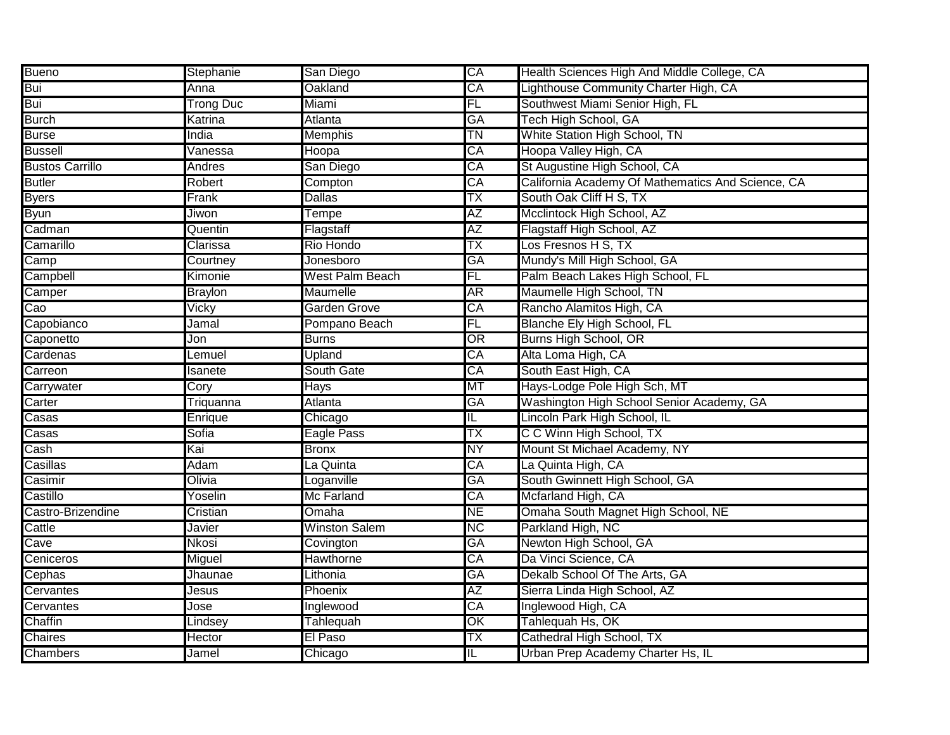| <b>Bueno</b>           | Stephanie        | San Diego            | CA                       | Health Sciences High And Middle College, CA       |
|------------------------|------------------|----------------------|--------------------------|---------------------------------------------------|
| Bui                    | Anna             | Oakland              | CA                       | ighthouse Community Charter High, CA              |
| Bui                    | <b>Trong Duc</b> | Miami                | FL                       | Southwest Miami Senior High, FL                   |
| <b>Burch</b>           | Katrina          | <b>Atlanta</b>       | GA                       | Tech High School, GA                              |
| <b>Burse</b>           | India            | <b>Memphis</b>       | TN                       | White Station High School, TN                     |
| <b>Bussell</b>         | Vanessa          | Hoopa                | CA                       | Hoopa Valley High, CA                             |
| <b>Bustos Carrillo</b> | Andres           | San Diego            | CA                       | St Augustine High School, CA                      |
| <b>Butler</b>          | Robert           | Compton              | CA                       | California Academy Of Mathematics And Science, CA |
| <b>Byers</b>           | Frank            | <b>Dallas</b>        | ТX                       | South Oak Cliff H S, TX                           |
| <b>Byun</b>            | Jiwon            | Tempe                | AΖ                       | Mcclintock High School, AZ                        |
| Cadman                 | Quentin          | Flagstaff            | AΖ                       | Flagstaff High School, AZ                         |
| Camarillo              | Clarissa         | Rio Hondo            | ТX                       | Los Fresnos H S, TX                               |
| Camp                   | Courtney         | Jonesboro            | GA                       | Mundy's Mill High School, GA                      |
| Campbell               | Kimonie          | West Palm Beach      | FL                       | Palm Beach Lakes High School, FL                  |
| Camper                 | <b>Braylon</b>   | Maumelle             | ΑR                       | Maumelle High School, TN                          |
| Cao                    | Vicky            | Garden Grove         | CA                       | Rancho Alamitos High, CA                          |
| Capobianco             | Jamal            | Pompano Beach        | FL                       | Blanche Ely High School, FL                       |
| Caponetto              | Jon              | <b>Burns</b>         | OR                       | Burns High School, OR                             |
| Cardenas               | Lemuel           | Upland               | CA                       | Alta Loma High, CA                                |
| Carreon                | Isanete          | South Gate           | CA                       | South East High, CA                               |
| Carrywater             | Cory             | Hays                 | МT                       | Hays-Lodge Pole High Sch, MT                      |
| Carter                 | Triquanna        | Atlanta              | <b>GA</b>                | Washington High School Senior Academy, GA         |
| Casas                  | Enrique          | Chicago              | IL                       | Lincoln Park High School, IL                      |
| Casas                  | Sofia            | Eagle Pass           | ТX                       | C C Winn High School, TX                          |
| Cash                   | Kai              | <b>Bronx</b>         | NΥ                       | Mount St Michael Academy, NY                      |
| Casillas               | Adam             | La Quinta            | CA                       | La Quinta High, CA                                |
| Casimir                | Olivia           | Loganville           | GA                       | South Gwinnett High School, GA                    |
| Castillo               | Yoselin          | Mc Farland           | CA                       | Mcfarland High, CA                                |
| Castro-Brizendine      | Cristian         | Omaha                | <b>NE</b>                | Omaha South Magnet High School, NE                |
| Cattle                 | Javier           | <b>Winston Salem</b> | <b>NC</b>                | Parkland High, NC                                 |
| Cave                   | Nkosi            | Covington            | GA                       | Newton High School, GA                            |
| Ceniceros              | Miguel           | Hawthorne            | CA                       | Da Vinci Science, CA                              |
| Cephas                 | Jhaunae          | Lithonia             | GA                       | Dekalb School Of The Arts, GA                     |
| Cervantes              | Jesus            | Phoenix              | AΖ                       | Sierra Linda High School, AZ                      |
| Cervantes              | Jose             | Inglewood            | CA                       | Inglewood High, CA                                |
| Chaffin                | Lindsey          | Tahlequah            | $\overline{\mathsf{OK}}$ | Tahlequah Hs, OK                                  |
| Chaires                | Hector           | El Paso              | ТX                       | Cathedral High School, TX                         |
| Chambers               | Jamel            | Chicago              | F                        | Urban Prep Academy Charter Hs, IL                 |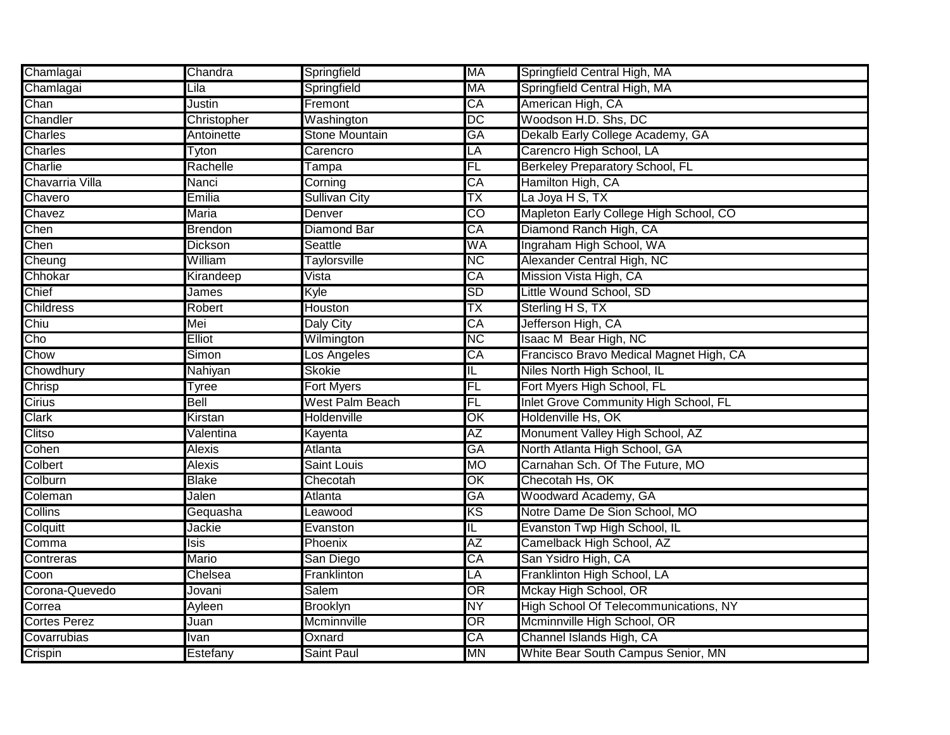| Chamlagai           | Chandra        | Springfield           | MA                      | Springfield Central High, MA            |
|---------------------|----------------|-----------------------|-------------------------|-----------------------------------------|
| Chamlagai           | Lila           | Springfield           | <b>MA</b>               | Springfield Central High, MA            |
| Chan                | Justin         | Fremont               | CA                      | American High, CA                       |
| Chandler            | Christopher    | Washington            | DC                      | Woodson H.D. Shs, DC                    |
| <b>Charles</b>      | Antoinette     | <b>Stone Mountain</b> | GA                      | Dekalb Early College Academy, GA        |
| Charles             | Tyton          | Carencro              | LÄ                      | Carencro High School, LA                |
| Charlie             | Rachelle       | Tampa                 | FL                      | <b>Berkeley Preparatory School, FL</b>  |
| Chavarria Villa     | Nanci          | Corning               | CA                      | Hamilton High, CA                       |
| Chavero             | Emilia         | <b>Sullivan City</b>  | ТX                      | La Joya H S, TX                         |
| Chavez              | <b>Maria</b>   | Denver                | $\overline{CO}$         | Mapleton Early College High School, CO  |
| Chen                | <b>Brendon</b> | <b>Diamond Bar</b>    | CA                      | Diamond Ranch High, CA                  |
| Chen                | <b>Dickson</b> | Seattle               | WA                      | Ingraham High School, WA                |
| Cheung              | William        | <b>Taylorsville</b>   | <b>NC</b>               | Alexander Central High, NC              |
| Chhokar             | Kirandeep      | Vista                 | CA                      | Mission Vista High, CA                  |
| Chief               | James          | Kyle                  | <b>SD</b>               | Little Wound School, SD                 |
| Childress           | Robert         | <b>Houston</b>        | ТX                      | Sterling H S, TX                        |
| Chiu                | Mei            | <b>Daly City</b>      | CA                      | Jefferson High, CA                      |
| Cho                 | <b>Elliot</b>  | Wilmington            | <b>NC</b>               | Isaac M Bear High, NC                   |
| Chow                | Simon          | Los Angeles           | CA                      | Francisco Bravo Medical Magnet High, CA |
| Chowdhury           | Nahiyan        | <b>Skokie</b>         | IL                      | Niles North High School, IL             |
| Chrisp              | Tyree          | <b>Fort Myers</b>     | FL                      | Fort Myers High School, FL              |
| Cirius              | Bell           | West Palm Beach       | FL                      | Inlet Grove Community High School, FL   |
| <b>Clark</b>        | Kirstan        | <b>Holdenville</b>    | OK                      | Holdenville Hs, OK                      |
| Clitso              | Valentina      | Kayenta               | ΑZ                      | Monument Valley High School, AZ         |
| Cohen               | Alexis         | Atlanta               | GA                      | North Atlanta High School, GA           |
| Colbert             | Alexis         | Saint Louis           | <b>MO</b>               | Carnahan Sch. Of The Future, MO         |
| Colburn             | <b>Blake</b>   | Checotah              | OK                      | Checotah Hs, OK                         |
| Coleman             | Jalen          | Atlanta               | GA                      | Woodward Academy, GA                    |
| Collins             | Gequasha       | _eawood               | KS                      | Notre Dame De Sion School, MO           |
| Colquitt            | Jackie         | Evanston              | $\overline{\mathsf{L}}$ | Evanston Twp High School, IL            |
| Comma               | Isis           | Phoenix               | AΖ                      | Camelback High School, AZ               |
| Contreras           | <b>Mario</b>   | San Diego             | CA                      | San Ysidro High, CA                     |
| Coon                | Chelsea        | Franklinton           | LA                      | Franklinton High School, LA             |
| Corona-Quevedo      | Jovani         | <b>Salem</b>          | OR                      | Mckay High School, OR                   |
| Correa              | Ayleen         | <b>Brooklyn</b>       | <b>NY</b>               | High School Of Telecommunications, NY   |
| <b>Cortes Perez</b> | Juan           | Mcminnville           | OR                      | Mcminnville High School, OR             |
| Covarrubias         | Ivan           | Oxnard                | CA                      | Channel Islands High, CA                |
| Crispin             | Estefany       | Saint Paul            | MN                      | White Bear South Campus Senior, MN      |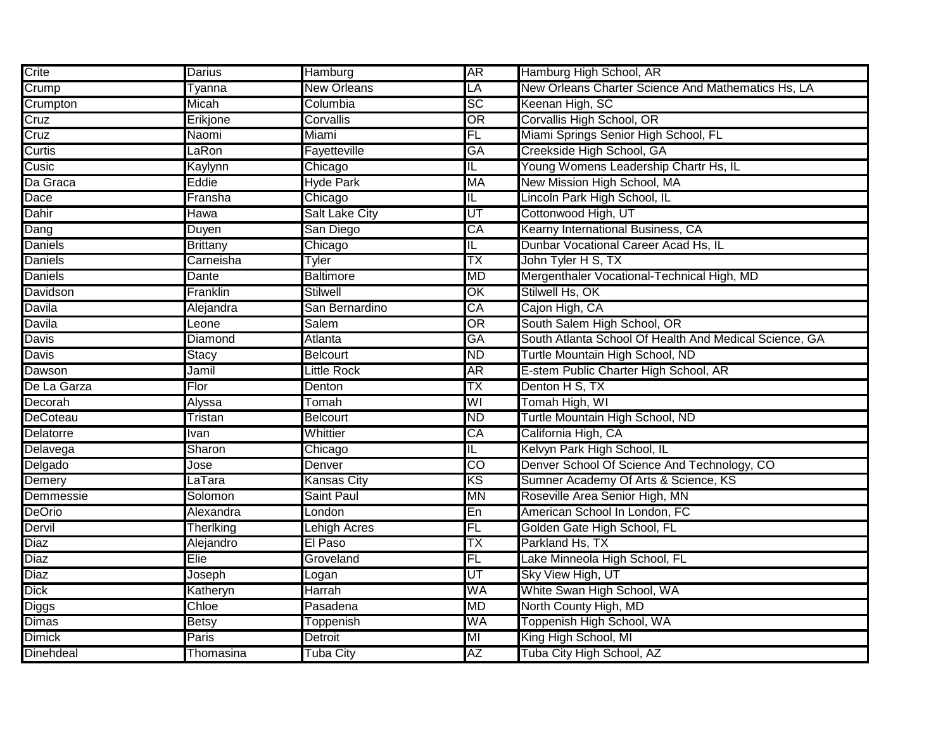| Crite            | Darius          | Hamburg            | <b>AR</b>               | Hamburg High School, AR                                |
|------------------|-----------------|--------------------|-------------------------|--------------------------------------------------------|
| Crump            | Tyanna          | <b>New Orleans</b> | LA                      | New Orleans Charter Science And Mathematics Hs, LA     |
| Crumpton         | Micah           | Columbia           | <b>SC</b>               | Keenan High, SC                                        |
| Cruz             | Erikjone        | Corvallis          | OR                      | Corvallis High School, OR                              |
| Cruz             | Naomi           | Miami              | FL                      | Miami Springs Senior High School, FL                   |
| Curtis           | LaRon           | Fayetteville       | GA                      | Creekside High School, GA                              |
| Cusic            | Kaylynn         | Chicago            | IL                      | Young Womens Leadership Chartr Hs, IL                  |
| Da Graca         | Eddie           | <b>Hyde Park</b>   | <b>MA</b>               | New Mission High School, MA                            |
| Dace             | Fransha         | Chicago            | $\overline{\mathsf{L}}$ | Lincoln Park High School, IL                           |
| Dahir            | Hawa            | Salt Lake City     | UT                      | Cottonwood High, UT                                    |
| Dang             | Duyen           | San Diego          | CA                      | Kearny International Business, CA                      |
| <b>Daniels</b>   | <b>Brittany</b> | Chicago            | IL                      | Dunbar Vocational Career Acad Hs, IL                   |
| <b>Daniels</b>   | Carneisha       | Tyler              | ТX                      | John Tyler H S, TX                                     |
| <b>Daniels</b>   | Dante           | <b>Baltimore</b>   | MD                      | Mergenthaler Vocational-Technical High, MD             |
| Davidson         | Franklin        | <b>Stilwell</b>    | OK                      | Stilwell Hs, OK                                        |
| Davila           | Alejandra       | San Bernardino     | CA                      | Cajon High, CA                                         |
| <b>Davila</b>    | Leone           | Salem              | $\overline{\text{OR}}$  | South Salem High School, OR                            |
| Davis            | Diamond         | Atlanta            | GA                      | South Atlanta School Of Health And Medical Science, GA |
| <b>Davis</b>     | Stacy           | <b>Belcourt</b>    | <b>ND</b>               | Turtle Mountain High School, ND                        |
| Dawson           | Jamil           | Little Rock        | <b>AR</b>               | E-stem Public Charter High School, AR                  |
| De La Garza      | Flor            | Denton             | ТX                      | Denton H S, TX                                         |
| Decorah          | Alyssa          | Tomah              | WI                      | Tomah High, WI                                         |
| <b>DeCoteau</b>  | Tristan         | <b>Belcourt</b>    | <b>ND</b>               | Furtle Mountain High School, ND                        |
| <b>Delatorre</b> | Ivan            | Whittier           | CA                      | California High, CA                                    |
| Delavega         | Sharon          | Chicago            | IL.                     | Kelvyn Park High School, IL                            |
| Delgado          | Jose            | Denver             | $\overline{CO}$         | Denver School Of Science And Technology, CO            |
| Demery           | LaTara          | Kansas City        | KS                      | Sumner Academy Of Arts & Science, KS                   |
| Demmessie        | Solomon         | Saint Paul         | MN                      | Roseville Area Senior High, MN                         |
| <b>DeOrio</b>    | Alexandra       | London             | En                      | American School In London, FC                          |
| Dervil           | Therlking       | Lehigh Acres       | FL                      | Golden Gate High School, FL                            |
| Diaz             | Alejandro       | El Paso            | ТX                      | Parkland Hs, TX                                        |
| Diaz             | Elie            | Groveland          | FL                      | Lake Minneola High School, FL                          |
| Diaz             | Joseph          | Logan              | UT                      | Sky View High, UT                                      |
| Dick             | Katheryn        | <b>Harrah</b>      | WA                      | White Swan High School, WA                             |
| <b>Diggs</b>     | Chloe           | Pasadena           | <b>MD</b>               | North County High, MD                                  |
| <b>Dimas</b>     | <b>Betsy</b>    | Toppenish          | WA                      | Toppenish High School, WA                              |
| <b>Dimick</b>    | Paris           | Detroit            | MI                      | King High School, MI                                   |
| Dinehdeal        | Thomasina       | <b>Tuba City</b>   | ΑZ                      | Tuba City High School, AZ                              |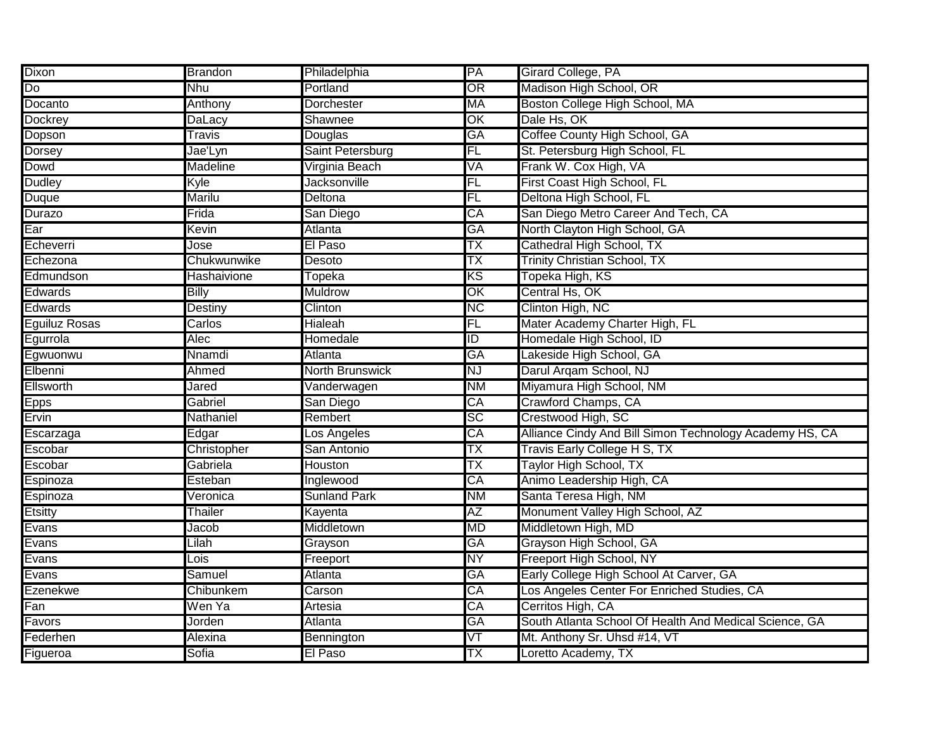| Dixon                | <b>Brandon</b>  | Philadelphia           | PA                       | Girard College, PA                                      |
|----------------------|-----------------|------------------------|--------------------------|---------------------------------------------------------|
| Do                   | Nhu             | Portland               | OR                       | Madison High School, OR                                 |
| Docanto              | Anthony         | Dorchester             | MA                       | Boston College High School, MA                          |
| <b>Dockrey</b>       | DaLacy          | Shawnee                | $\overline{\mathsf{OK}}$ | Dale Hs, OK                                             |
| Dopson               | Travis          | Douglas                | GA                       | Coffee County High School, GA                           |
| <b>Dorsey</b>        | Jae'Lyn         | Saint Petersburg       | FL                       | St. Petersburg High School, FL                          |
| Dowd                 | <b>Madeline</b> | Virginia Beach         | VA                       | Frank W. Cox High, VA                                   |
| <b>Dudley</b>        | Kyle            | <b>Jacksonville</b>    | FL                       | First Coast High School, FL                             |
| <b>Duque</b>         | <b>Marilu</b>   | Deltona                | FL                       | Deltona High School, FL                                 |
| <b>Durazo</b>        | Frida           | San Diego              | CA                       | San Diego Metro Career And Tech, CA                     |
| Ear                  | Kevin           | Atlanta                | <b>GA</b>                | North Clayton High School, GA                           |
| Echeverri            | Jose            | El Paso                | ТX                       | Cathedral High School, TX                               |
| Echezona             | Chukwunwike     | Desoto                 | ТX                       | <b>Trinity Christian School, TX</b>                     |
| Edmundson            | Hashaivione     | Topeka                 | ΚS                       | Topeka High, KS                                         |
| <b>Edwards</b>       | <b>Billy</b>    | <b>Muldrow</b>         | OK                       | Central Hs, OK                                          |
| <b>Edwards</b>       | <b>Destiny</b>  | Clinton                | <b>NC</b>                | Clinton High, NC                                        |
| <b>Eguiluz Rosas</b> | Carlos          | Hialeah                | FL                       | Mater Academy Charter High, FL                          |
| Egurrola             | Alec            | Homedale               | $\overline{1}$           | Homedale High School, ID                                |
| Egwuonwu             | Nnamdi          | Atlanta                | GA                       | Lakeside High School, GA                                |
| Elbenni              | Ahmed           | <b>North Brunswick</b> | <b>NJ</b>                | Darul Argam School, NJ                                  |
| Ellsworth            | Jared           | Vanderwagen            | <b>NM</b>                | Miyamura High School, NM                                |
| <b>Epps</b>          | Gabriel         | San Diego              | CA                       | Crawford Champs, CA                                     |
| Ervin                | Nathaniel       | Rembert                | SC                       | Crestwood High, SC                                      |
| Escarzaga            | Edgar           | Los Angeles            | CA                       | Alliance Cindy And Bill Simon Technology Academy HS, CA |
| Escobar              | Christopher     | San Antonio            | ТX                       | Travis Early College H S, TX                            |
| Escobar              | Gabriela        | Houston                | TΧ                       | Taylor High School, TX                                  |
| Espinoza             | Esteban         | Inglewood              | CA                       | Animo Leadership High, CA                               |
| Espinoza             | Veronica        | <b>Sunland Park</b>    | <b>NM</b>                | Santa Teresa High, NM                                   |
| Etsitty              | Thailer         | Kayenta                | AΖ                       | Monument Valley High School, AZ                         |
| Evans                | Jacob           | Middletown             | MD                       | Middletown High, MD                                     |
| Evans                | Lilah           | Grayson                | GA                       | Grayson High School, GA                                 |
| Evans                | Lois            | Freeport               | NΥ                       | Freeport High School, NY                                |
| Evans                | Samuel          | Atlanta                | GA                       | Early College High School At Carver, GA                 |
| Ezenekwe             | Chibunkem       | Carson                 | CA                       | Los Angeles Center For Enriched Studies, CA             |
| Fan                  | Wen Ya          | Artesia                | CA                       | Cerritos High, CA                                       |
| Favors               | Jorden          | Atlanta                | GA                       | South Atlanta School Of Health And Medical Science, GA  |
| Federhen             | Alexina         | Bennington             | $\overline{\text{VT}}$   | Mt. Anthony Sr. Uhsd #14, VT                            |
| Figueroa             | Sofia           | El Paso                | TΧ                       | Loretto Academy, TX                                     |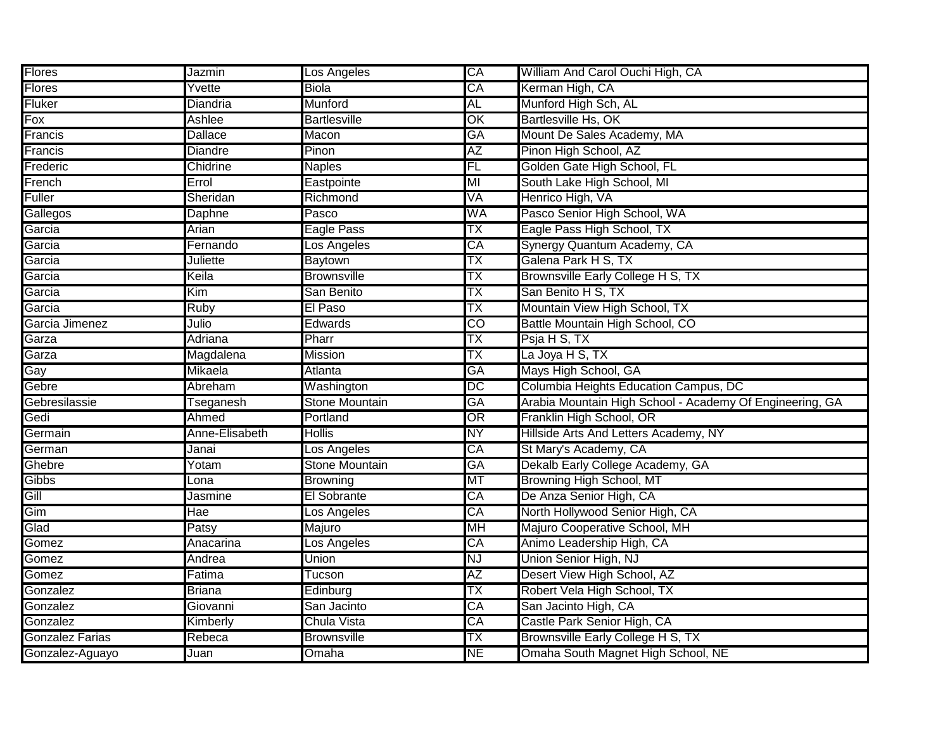| <b>Flores</b>          | Jazmin          | Los Angeles           | CA              | William And Carol Ouchi High, CA                                        |
|------------------------|-----------------|-----------------------|-----------------|-------------------------------------------------------------------------|
| Flores                 | Yvette          | <b>Biola</b>          | CA              | Kerman High, CA                                                         |
| Fluker                 | Diandria        | Munford               | AL              | Munford High Sch, AL                                                    |
| Fox                    | Ashlee          | <b>Bartlesville</b>   | OK              | Bartlesville Hs, OK                                                     |
| Francis                | <b>Dallace</b>  | Macon                 | GA              | Mount De Sales Academy, MA                                              |
| Francis                | <b>Diandre</b>  | Pinon                 | AΖ              | Pinon High School, AZ                                                   |
| Frederic               | Chidrine        | <b>Naples</b>         | FL              | Golden Gate High School, FL                                             |
| French                 | Errol           | Eastpointe            | MI              | South Lake High School, MI                                              |
| <b>Fuller</b>          | Sheridan        | Richmond              | VA              | Henrico High, VA                                                        |
| Gallegos               | Daphne          | Pasco                 | WA              | Pasco Senior High School, WA                                            |
| Garcia                 | Arian           | Eagle Pass            | ТX              | Eagle Pass High School, TX                                              |
| Garcia                 | Fernando        | Los Angeles           | CA              | Synergy Quantum Academy, CA                                             |
| Garcia                 | <b>Juliette</b> | Baytown               | ТX              | Galena Park H S, TX                                                     |
| Garcia                 | Keila           | <b>Brownsville</b>    | ТX              | Brownsville Early College H S, TX                                       |
| Garcia                 | Kim             | San Benito            | ТX              | San Benito H S, TX                                                      |
| Garcia                 | Ruby            | El Paso               | ТX              | Mountain View High School, TX                                           |
| Garcia Jimenez         | Julio           | Edwards               | CO              | Battle Mountain High School, CO                                         |
| Garza                  | Adriana         | Pharr                 | ТX              | Psja H S, TX                                                            |
| Garza                  | Magdalena       | <b>Mission</b>        | ТX              | La Joya H S, TX                                                         |
|                        |                 |                       |                 |                                                                         |
| Gay                    | Mikaela         | <b>Atlanta</b>        | GA              | Mays High School, GA                                                    |
| Gebre                  | Abreham         | Washington            | DC              | Columbia Heights Education Campus, DC                                   |
| Gebresilassie          | Tseganesh       | Stone Mountain        | GA              | Arabia Mountain High School - Academy Of Engineering, GA                |
| Gedi                   | Ahmed           | Portland              | OR              | Franklin High School, OR                                                |
| Germain                | Anne-Elisabeth  | Hollis                | NΥ              | Hillside Arts And Letters Academy, NY                                   |
| German                 | Janai           | Los Angeles           | CA              | St Mary's Academy, CA                                                   |
| Ghebre                 | Yotam           | <b>Stone Mountain</b> | GA              | Dekalb Early College Academy, GA                                        |
| <b>Gibbs</b>           | Lona            | <b>Browning</b>       | MT              | Browning High School, MT                                                |
| Gill                   | Jasmine         | El Sobrante           | CA              | De Anza Senior High, CA                                                 |
| Gim                    | Hae             | Los Angeles           | CA              | North Hollywood Senior High, CA                                         |
| Glad                   | Patsy           | Majuro                | <b>MH</b>       | Majuro Cooperative School, MH                                           |
| Gomez                  | Anacarina       | _os Angeles           | CA              | Animo Leadership High, CA                                               |
| Gomez                  | Andrea          | Union                 | ΝJ              | Union Senior High, NJ                                                   |
| Gomez                  | Fatima          | Tucson                | AΖ              | Desert View High School, AZ                                             |
| Gonzalez               | <b>Briana</b>   | Edinburg              | ТX              | Robert Vela High School, TX                                             |
| Gonzalez               | Giovanni        | San Jacinto           | CA              | San Jacinto High, CA                                                    |
| Gonzalez               | Kimberly        | Chula Vista           | CA              | Castle Park Senior High, CA                                             |
| <b>Gonzalez Farias</b> | Rebeca          | <b>Brownsville</b>    | TX<br><b>NE</b> | Brownsville Early College H S, TX<br>Omaha South Magnet High School, NE |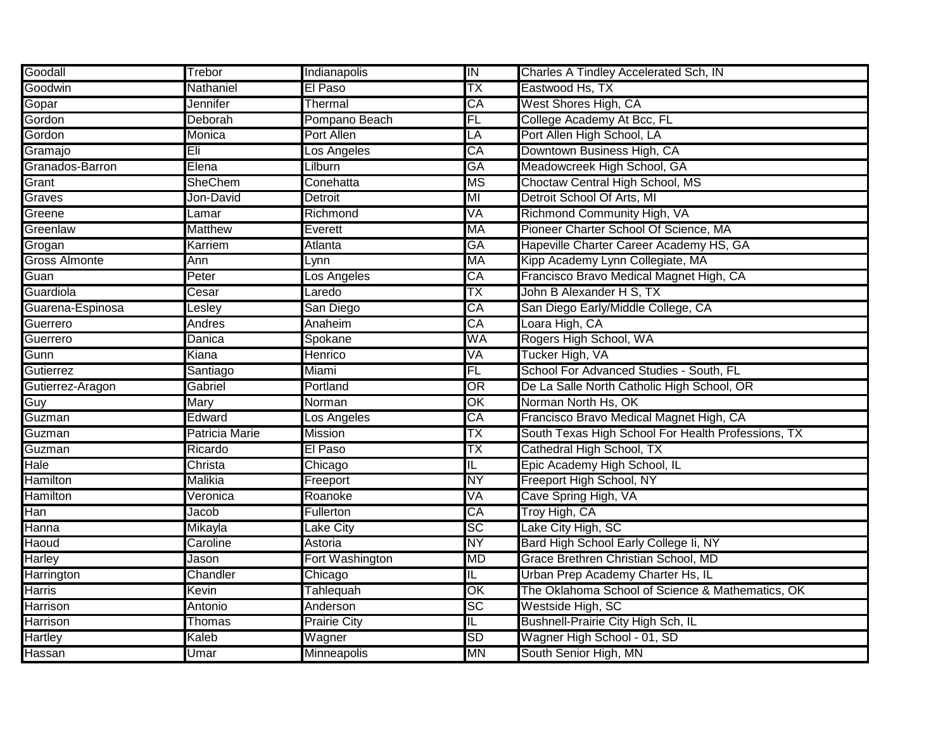| Goodall                 | Trebor         | Indianapolis        | $\overline{\mathsf{I}}$  | Charles A Tindley Accelerated Sch, IN              |
|-------------------------|----------------|---------------------|--------------------------|----------------------------------------------------|
| Goodwin                 | Nathaniel      | El Paso             | ТX                       | Eastwood Hs, TX                                    |
| Gopar                   | Jennifer       | Thermal             | $\overline{CA}$          | West Shores High, CA                               |
| Gordon                  | Deborah        | Pompano Beach       | FL                       | College Academy At Bcc, FL                         |
| Gordon                  | Monica         | Port Allen          | LÄ                       | Port Allen High School, LA                         |
| Gramajo                 | Eli            | Los Angeles         | СĀ                       | Downtown Business High, CA                         |
| Granados-Barron         | Elena          | Lilburn             | GA                       | Meadowcreek High School, GA                        |
| Grant                   | <b>SheChem</b> | Conehatta           | <b>MS</b>                | Choctaw Central High School, MS                    |
| Graves                  | Jon-David      | Detroit             | MI                       | Detroit School Of Arts, MI                         |
| Greene                  | Lamar          | Richmond            | VA                       | Richmond Community High, VA                        |
| Greenlaw                | <b>Matthew</b> | Everett             | <b>MA</b>                | Pioneer Charter School Of Science, MA              |
| Grogan                  | Karriem        | Atlanta             | GA                       | Hapeville Charter Career Academy HS, GA            |
| <b>Gross Almonte</b>    | Ann            | Lynn                | <b>MA</b>                | Kipp Academy Lynn Collegiate, MA                   |
| Guan                    | Peter          | Los Angeles         | CA                       | Francisco Bravo Medical Magnet High, CA            |
| Guardiola               | Cesar          | Laredo              | ТX                       | John B Alexander H S, TX                           |
| Guarena-Espinosa        | Lesley         | San Diego           | CA                       | San Diego Early/Middle College, CA                 |
| Guerrero                | Andres         | Anaheim             | CA                       | Loara High, CA                                     |
| Guerrero                | Danica         | Spokane             | <b>WA</b>                | Rogers High School, WA                             |
| Gunn                    | Kiana          | Henrico             | VA                       | Tucker High, VA                                    |
| Gutierrez               | Santiago       | Miami               | FL                       | School For Advanced Studies - South, FL            |
| Gutierrez-Aragon        | Gabriel        | Portland            | $\overline{\mathsf{OR}}$ | De La Salle North Catholic High School, OR         |
| Guy                     | <b>Mary</b>    | Norman              | $\overline{\mathsf{OK}}$ | Norman North Hs, OK                                |
| Guzman                  | Edward         | _os Angeles         | СĀ                       | Francisco Bravo Medical Magnet High, CA            |
| Guzman                  | Patricia Marie | Mission             | TΧ                       | South Texas High School For Health Professions, TX |
| Guzman                  | Ricardo        | El Paso             | TХ                       | Cathedral High School, TX                          |
| Hale                    | Christa        | Chicago             | IL                       | Epic Academy High School, IL                       |
| <b>Hamilton</b>         | Malikia        | Freeport            | <b>NY</b>                | Freeport High School, NY                           |
| Hamilton                | Veronica       | Roanoke             | VA                       | Cave Spring High, VA                               |
| $\overline{\text{Han}}$ | Jacob          | <b>Fullerton</b>    | CA                       | Troy High, CA                                      |
| Hanna                   | Mikayla        | Lake City           | $\overline{SC}$          | Lake City High, SC                                 |
| Haoud                   | Caroline       | Astoria             | <b>NY</b>                | Bard High School Early College Ii, NY              |
| <b>Harley</b>           | Jason          | Fort Washington     | <b>MD</b>                | Grace Brethren Christian School, MD                |
| Harrington              | Chandler       | Chicago             | IL                       | Urban Prep Academy Charter Hs, IL                  |
| <b>Harris</b>           | Kevin          | Tahlequah           | OK                       | The Oklahoma School of Science & Mathematics, OK   |
| Harrison                | Antonio        | Anderson            | $\overline{SC}$          | Westside High, SC                                  |
| Harrison                | Thomas         | <b>Prairie City</b> | IL                       | <b>Bushnell-Prairie City High Sch, IL</b>          |
| <b>Hartley</b>          | Kaleb          | Wagner              | <b>SD</b>                | Wagner High School - 01, SD                        |
| Hassan                  | Umar           | <b>Minneapolis</b>  | <b>MN</b>                | South Senior High, MN                              |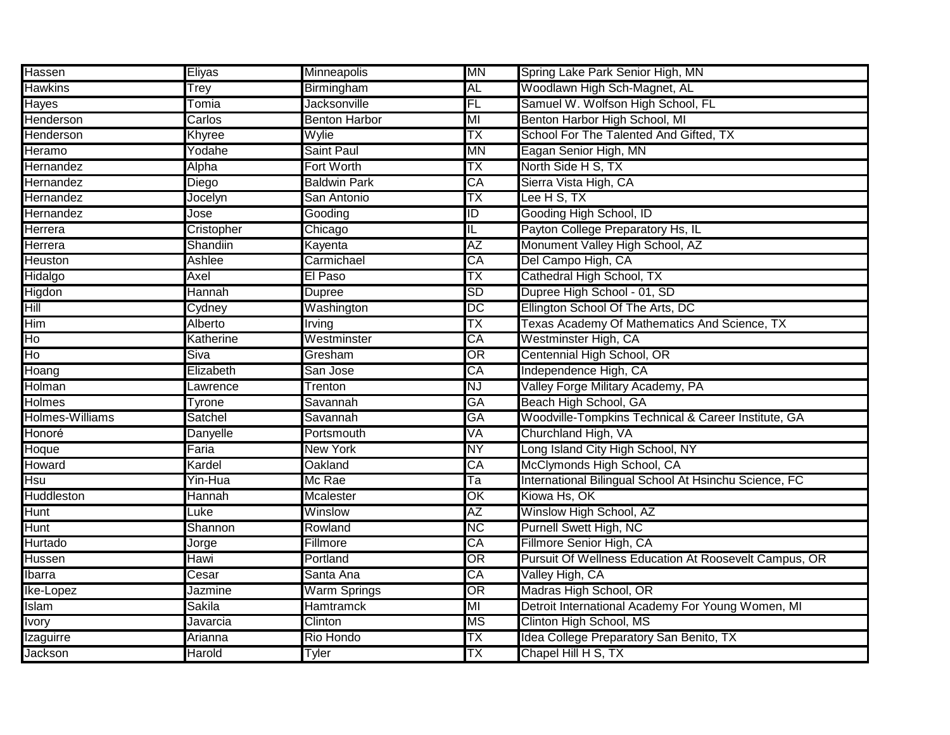| Hassen                 | Eliyas     | Minneapolis          | <b>MN</b>               | Spring Lake Park Senior High, MN                      |
|------------------------|------------|----------------------|-------------------------|-------------------------------------------------------|
| <b>Hawkins</b>         | Trey       | Birmingham           | <b>AL</b>               | Woodlawn High Sch-Magnet, AL                          |
| Hayes                  | Tomia      | <b>Jacksonville</b>  | FL                      | Samuel W. Wolfson High School, FL                     |
| Henderson              | Carlos     | <b>Benton Harbor</b> | MI                      | Benton Harbor High School, MI                         |
| Henderson              | Khyree     | Wylie                | ТX                      | School For The Talented And Gifted, TX                |
| Heramo                 | Yodahe     | <b>Saint Paul</b>    | MN                      | Eagan Senior High, MN                                 |
| Hernandez              | Alpha      | Fort Worth           | ТX                      | North Side H S, TX                                    |
| <b>Hernandez</b>       | Diego      | <b>Baldwin Park</b>  | CA                      | Sierra Vista High, CA                                 |
| <b>Hernandez</b>       | Jocelyn    | San Antonio          | ТX                      | Lee H S, TX                                           |
| Hernandez              | Jose       | Gooding              | ID                      | Gooding High School, ID                               |
| Herrera                | Cristopher | Chicago              | $\overline{\mathsf{I}}$ | Payton College Preparatory Hs, IL                     |
| <b>Herrera</b>         | Shandiin   | Kayenta              | <b>AZ</b>               | Monument Valley High School, AZ                       |
| <b>Heuston</b>         | Ashlee     | Carmichael           | CA                      | Del Campo High, CA                                    |
| Hidalgo                | Axel       | El Paso              | ТX                      | Cathedral High School, TX                             |
| Higdon                 | Hannah     | <b>Dupree</b>        | <b>SD</b>               | Dupree High School - 01, SD                           |
| Hill                   | Cydney     | Washington           | DC                      | Ellington School Of The Arts, DC                      |
| Him                    | Alberto    | Irving               | ТX                      | Texas Academy Of Mathematics And Science, TX          |
| Ho                     | Katherine  | Westminster          | CA                      | Westminster High, CA                                  |
| Ho                     | Siva       | Gresham              | $\overline{OR}$         | Centennial High School, OR                            |
| Hoang                  | Elizabeth  | San Jose             | CA                      | Independence High, CA                                 |
| Holman                 | Lawrence   | Trenton              | <b>NJ</b>               | Valley Forge Military Academy, PA                     |
| <b>Holmes</b>          | Tyrone     | Savannah             | <b>GA</b>               | Beach High School, GA                                 |
| <b>Holmes-Williams</b> | Satchel    | Savannah             | GA                      | Woodville-Tompkins Technical & Career Institute, GA   |
| Honoré                 | Danyelle   | Portsmouth           | VA                      | Churchland High, VA                                   |
| Hoque                  | Faria      | <b>New York</b>      | $\overline{\text{NY}}$  | Long Island City High School, NY                      |
| <b>Howard</b>          | Kardel     | <b>Oakland</b>       | CA                      | McClymonds High School, CA                            |
| <b>Hsu</b>             | Yin-Hua    | Mc Rae               | Ta                      | International Bilingual School At Hsinchu Science, FC |
| Huddleston             | Hannah     | <b>Mcalester</b>     | OK                      | Kiowa Hs, OK                                          |
| Hunt                   | Luke       | Winslow              | AΖ                      | Winslow High School, AZ                               |
| Hunt                   | Shannon    | Rowland              | <b>NC</b>               | <b>Purnell Swett High, NC</b>                         |
| Hurtado                | Jorge      | Fillmore             | CA                      | Fillmore Senior High, CA                              |
| Hussen                 | Hawi       | Portland             | OR                      | Pursuit Of Wellness Education At Roosevelt Campus, OR |
| Ibarra                 | Cesar      | Santa Ana            | СA                      | Valley High, CA                                       |
| Ike-Lopez              | Jazmine    | <b>Warm Springs</b>  | OR                      | Madras High School, OR                                |
| Islam                  | Sakila     | <b>Hamtramck</b>     | MI                      | Detroit International Academy For Young Women, MI     |
| <b>Ivory</b>           | Javarcia   | Clinton              | <b>MS</b>               | Clinton High School, MS                               |
| <b>Izaguirre</b>       | Arianna    | <b>Rio Hondo</b>     | ТX                      | Idea College Preparatory San Benito, TX               |
| Jackson                | Harold     | Tyler                | TΧ                      | Chapel Hill H S, TX                                   |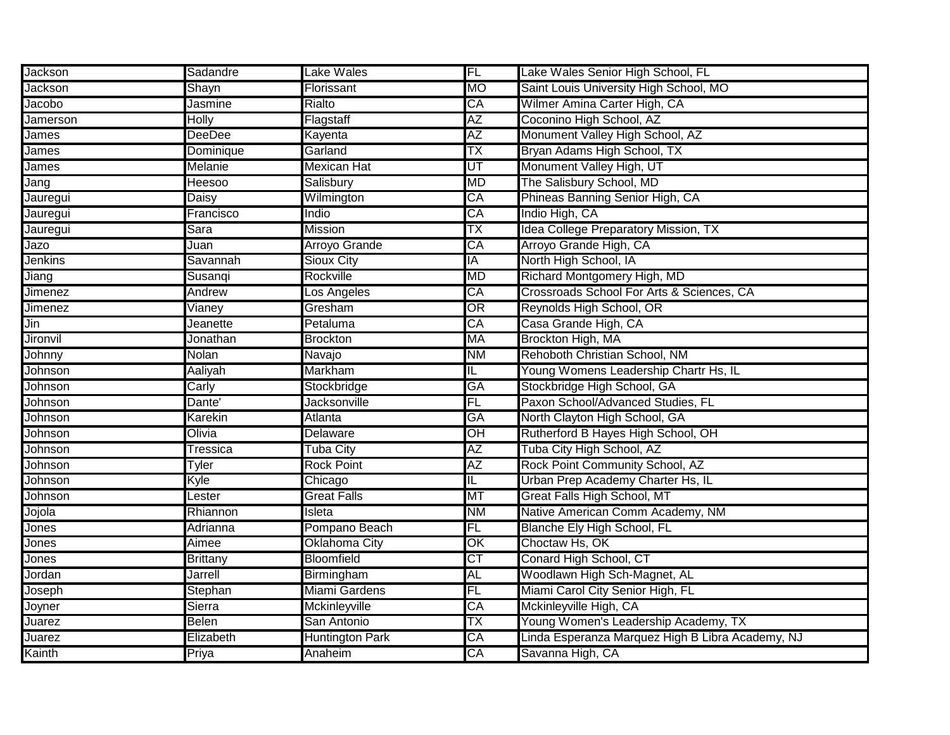| <b>Jackson</b>  | Sadandre        | Lake Wales             | FL                       | Lake Wales Senior High School, FL                |
|-----------------|-----------------|------------------------|--------------------------|--------------------------------------------------|
| Jackson         | Shayn           | Florissant             | MO                       | Saint Louis University High School, MO           |
| Jacobo          | Jasmine         | Rialto                 | CA                       | Wilmer Amina Carter High, CA                     |
| Jamerson        | Holly           | Flagstaff              | AΖ                       | Coconino High School, AZ                         |
| James           | DeeDee          | Kayenta                | AΖ                       | Monument Valley High School, AZ                  |
| James           | Dominique       | Garland                | TΧ                       | Bryan Adams High School, TX                      |
| James           | Melanie         | Mexican Hat            | UT                       | Monument Valley High, UT                         |
| Jang            | Heesoo          | Salisbury              | <b>MD</b>                | The Salisbury School, MD                         |
| Jauregui        | Daisy           | Wilmington             | $\overline{\text{CA}}$   | Phineas Banning Senior High, CA                  |
| Jauregui        | Francisco       | Indio                  | CA                       | Indio High, CA                                   |
| Jauregui        | Sara            | <b>Mission</b>         | ТX                       | <b>Idea College Preparatory Mission, TX</b>      |
| Jazo            | Juan            | <b>Arroyo Grande</b>   | CA                       | Arroyo Grande High, CA                           |
| <b>Jenkins</b>  | Savannah        | <b>Sioux City</b>      | IA                       | North High School, IA                            |
| Jiang           | Susanqi         | Rockville              | <b>MD</b>                | Richard Montgomery High, MD                      |
| <b>Jimenez</b>  | Andrew          | Los Angeles            | CA                       | Crossroads School For Arts & Sciences, CA        |
| <b>Jimenez</b>  | Vianey          | Gresham                | OR                       | Reynolds High School, OR                         |
| Jin             | Jeanette        | Petaluma               | CA                       | Casa Grande High, CA                             |
| <b>Jironvil</b> | Jonathan        | <b>Brockton</b>        | <b>MA</b>                | Brockton High, MA                                |
| Johnny          | Nolan           | Navajo                 | <b>NM</b>                | Rehoboth Christian School, NM                    |
| Johnson         | Aaliyah         | <b>Markham</b>         | IL                       | Young Womens Leadership Chartr Hs, IL            |
| Johnson         | Carly           | Stockbridge            | GA                       | Stockbridge High School, GA                      |
| Johnson         | Dante'          | Jacksonville           | FL                       | Paxon School/Advanced Studies, FL                |
| Johnson         | Karekin         | Atlanta                | GA                       | North Clayton High School, GA                    |
| Johnson         | Olivia          | <b>Delaware</b>        | OН                       | Rutherford B Hayes High School, OH               |
| Johnson         | Tressica        | Tuba City              | AΖ                       | Tuba City High School, AZ                        |
| Johnson         | Tyler           | <b>Rock Point</b>      | <b>AZ</b>                | Rock Point Community School, AZ                  |
| Johnson         | Kyle            | Chicago                | IL                       | Urban Prep Academy Charter Hs, IL                |
| Johnson         | Lester          | <b>Great Falls</b>     | МT                       | Great Falls High School, MT                      |
| Jojola          | Rhiannon        | Isleta                 | ΝM                       | Native American Comm Academy, NM                 |
| Jones           | Adrianna        | Pompano Beach          | FL                       | <b>Blanche Ely High School, FL</b>               |
| Jones           | Aimee           | <b>Oklahoma City</b>   | $\overline{\mathsf{OK}}$ | Choctaw Hs, OK                                   |
| Jones           | <b>Brittany</b> | <b>Bloomfield</b>      | СT                       | Conard High School, CT                           |
| Jordan          | Jarrell         | Birmingham             | AL                       | Woodlawn High Sch-Magnet, AL                     |
| Joseph          | Stephan         | Miami Gardens          | FL                       | Miami Carol City Senior High, FL                 |
| Joyner          | Sierra          | Mckinleyville          | $\overline{\text{CA}}$   | Mckinleyville High, CA                           |
| Juarez          | Belen           | San Antonio            | ΤX                       | Young Women's Leadership Academy, TX             |
| Juarez          | Elizabeth       | <b>Huntington Park</b> | $\overline{\text{CA}}$   | Linda Esperanza Marquez High B Libra Academy, NJ |
| Kainth          | Priya           | Anaheim                | CA                       | Savanna High, CA                                 |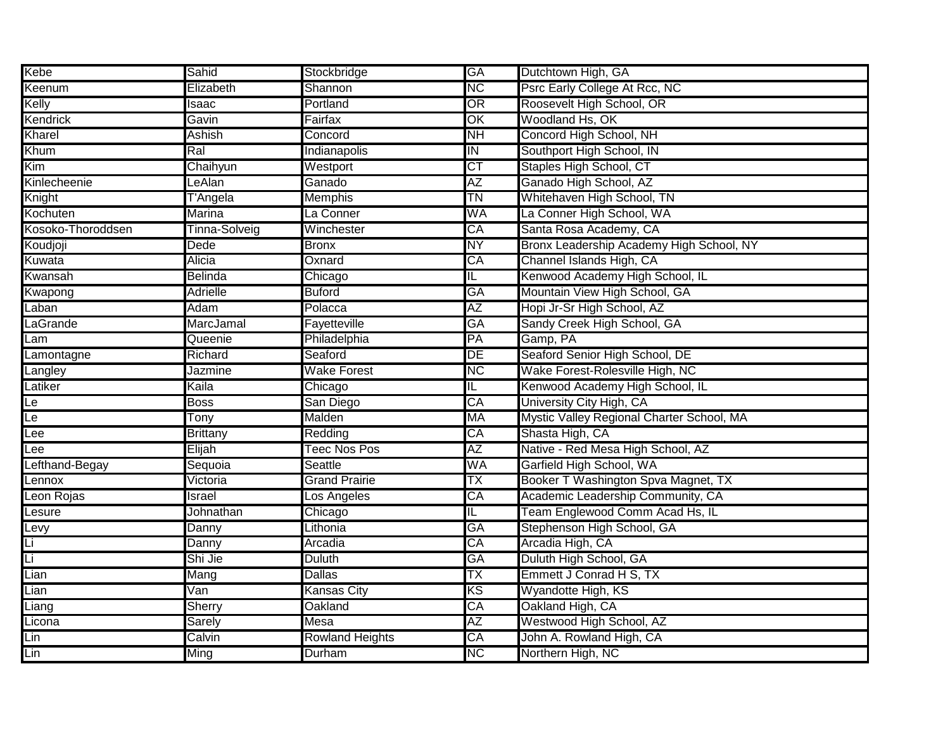| Kebe              | Sahid            | Stockbridge            | <b>GA</b>                | Dutchtown High, GA                        |
|-------------------|------------------|------------------------|--------------------------|-------------------------------------------|
| Keenum            | Elizabeth        | Shannon                | <b>NC</b>                | Psrc Early College At Rcc, NC             |
| Kelly             | Isaac            | Portland               | OR                       | Roosevelt High School, OR                 |
| Kendrick          | Gavin            | Fairfax                | OK                       | Woodland Hs, OK                           |
| Kharel            | <b>Ashish</b>    | Concord                | <b>NH</b>                | Concord High School, NH                   |
| Khum              | Ral              | Indianapolis           | IN                       | Southport High School, IN                 |
| Kim               | Chaihyun         | Westport               | СT                       | Staples High School, CT                   |
| Kinlecheenie      | LeAlan           | Ganado                 | AΖ                       | Ganado High School, AZ                    |
| Knight            | T'Angela         | <b>Memphis</b>         | ΤN                       | Whitehaven High School, TN                |
| Kochuten          | <b>Marina</b>    | La Conner              | WA                       | La Conner High School, WA                 |
| Kosoko-Thoroddsen | Tinna-Solveig    | Winchester             | CA                       | Santa Rosa Academy, CA                    |
| Koudjoji          | Dede             | <b>Bronx</b>           | <b>NY</b>                | Bronx Leadership Academy High School, NY  |
| Kuwata            | Alicia           | Oxnard                 | CA                       | Channel Islands High, CA                  |
| Kwansah           | Belinda          | Chicago                | IL.                      | Kenwood Academy High School, IL           |
| Kwapong           | <b>Adrielle</b>  | <b>Buford</b>          | GA                       | Mountain View High School, GA             |
| Laban             | Adam             | Polacca                | ΑZ                       | Hopi Jr-Sr High School, AZ                |
| LaGrande          | <b>MarcJamal</b> | Fayetteville           | GA                       | Sandy Creek High School, GA               |
| Lam               | Queenie          | Philadelphia           | PA                       | Gamp, PA                                  |
| Lamontagne        | Richard          | Seaford                | DE                       | Seaford Senior High School, DE            |
| Langley           | Jazmine          | <b>Wake Forest</b>     | К                        | Wake Forest-Rolesville High, NC           |
| Latiker           | Kaila            | Chicago                | $\overline{\mathsf{L}}$  | Kenwood Academy High School, IL           |
| Le                | <b>Boss</b>      | San Diego              | CA                       | University City High, CA                  |
| Le                | Tonv             | Malden                 | МA                       | Mystic Valley Regional Charter School, MA |
| Lee               | <b>Brittany</b>  | Redding                | CA                       | Shasta High, CA                           |
| Lee               | Elijah           | <b>Teec Nos Pos</b>    | AΖ                       | Native - Red Mesa High School, AZ         |
| Lefthand-Begay    | Sequoia          | Seattle                | WA                       | Garfield High School, WA                  |
| Lennox            | Victoria         | <b>Grand Prairie</b>   | ТX                       | Booker T Washington Spva Magnet, TX       |
| Leon Rojas        | Israel           | Los Angeles            | CA                       | Academic Leadership Community, CA         |
| Lesure            | Johnathan        | Chicago                | IL.                      | Team Englewood Comm Acad Hs, IL           |
| Levy              | Danny            | _ithonia               | <b>GA</b>                | Stephenson High School, GA                |
| Li                | Danny            | Arcadia                | CA                       | Arcadia High, CA                          |
| Li                | Shi Jie          | <b>Duluth</b>          | GA                       | Duluth High School, GA                    |
| Lian              | Mang             | <b>Dallas</b>          | ТX                       | Emmett J Conrad H S, TX                   |
| Lian              | Van              | Kansas City            | ΚS                       | Wyandotte High, KS                        |
| Liang             | <b>Sherry</b>    | Oakland                | CA                       | Oakland High, CA                          |
| Licona            | <b>Sarely</b>    | Mesa                   | AΖ                       | Westwood High School, AZ                  |
| Lin               | Calvin           | <b>Rowland Heights</b> | $\overline{\mathsf{CA}}$ | John A. Rowland High, CA                  |
| Lin               | Ming             | Durham                 | <b>NC</b>                | Northern High, NC                         |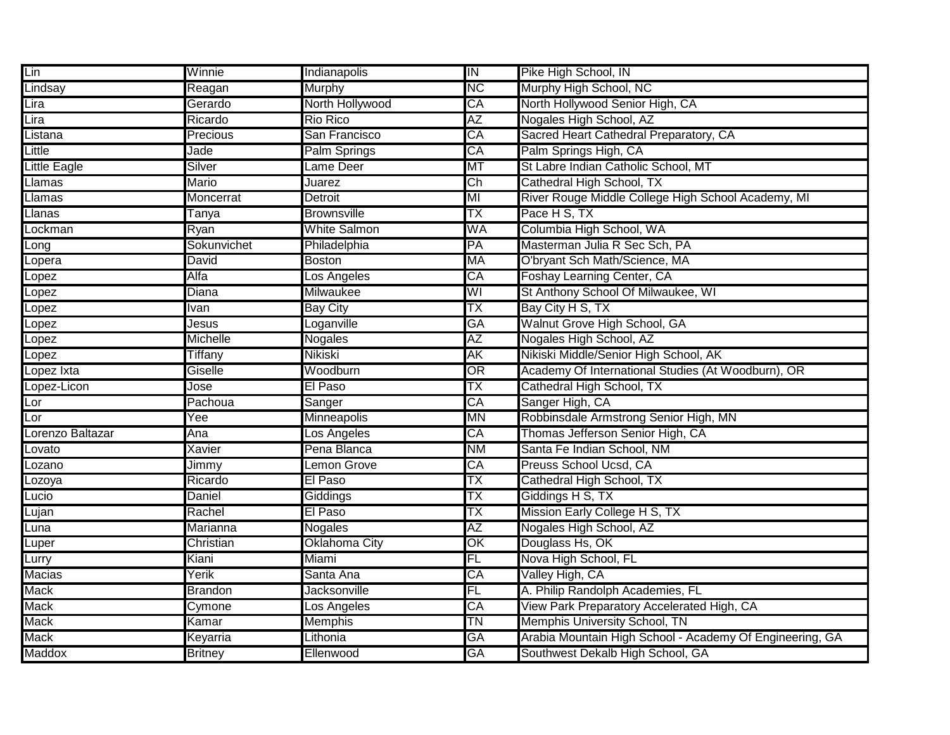| Lin              | Winnie         | Indianapolis        | $\overline{I}$           | Pike High School, IN                                     |
|------------------|----------------|---------------------|--------------------------|----------------------------------------------------------|
| Lindsay          | Reagan         | Murphy              | <b>NC</b>                | Murphy High School, NC                                   |
| Lira             | Gerardo        | North Hollywood     | CA                       | North Hollywood Senior High, CA                          |
| Lira             | Ricardo        | Rio Rico            | AΖ                       | Nogales High School, AZ                                  |
| Listana          | Precious       | San Francisco       | СĀ                       | Sacred Heart Cathedral Preparatory, CA                   |
| Little           | Jade           | Palm Springs        | СĀ                       | Palm Springs High, CA                                    |
| Little Eagle     | Silver         | Lame Deer           | МT                       | St Labre Indian Catholic School, MT                      |
| Llamas           | Mario          | Juarez              | $\overline{\text{Ch}}$   | Cathedral High School, TX                                |
| Llamas           | Moncerrat      | Detroit             | MI                       | River Rouge Middle College High School Academy, MI       |
| Llanas           | Tanya          | <b>Brownsville</b>  | ТX                       | Pace H S, TX                                             |
| Lockman          | Ryan           | <b>White Salmon</b> | WA                       | Columbia High School, WA                                 |
| Long             | Sokunvichet    | Philadelphia        | PA                       | Masterman Julia R Sec Sch, PA                            |
| Lopera           | David          | Boston              | MA                       | O'bryant Sch Math/Science, MA                            |
| Lopez            | Alfa           | Los Angeles         | CA                       | Foshay Learning Center, CA                               |
| Lopez            | Diana          | <b>Milwaukee</b>    | WI                       | St Anthony School Of Milwaukee, WI                       |
| Lopez            | <b>Ivan</b>    | <b>Bay City</b>     | ТX                       | Bay City H S, TX                                         |
| Lopez            | Jesus          | Loganville          | <b>GA</b>                | Walnut Grove High School, GA                             |
| Lopez            | Michelle       | Nogales             | AΖ                       | Nogales High School, AZ                                  |
| Lopez            | Tiffany        | Nikiski             | АK                       | Nikiski Middle/Senior High School, AK                    |
| Lopez Ixta       | Giselle        | Woodburn            | $\overline{\text{OR}}$   | Academy Of International Studies (At Woodburn), OR       |
| Lopez-Licon      | Jose           | El Paso             | ТX                       | Cathedral High School, TX                                |
| Lor              | Pachoua        | Sanger              | CA                       | Sanger High, CA                                          |
| Lor              | Yee            | <b>Minneapolis</b>  | MN                       | Robbinsdale Armstrong Senior High, MN                    |
| Lorenzo Baltazar | Ana            | Los Angeles         | СĀ                       | Thomas Jefferson Senior High, CA                         |
| Lovato           | Xavier         | Pena Blanca         | <b>NM</b>                | Santa Fe Indian School, NM                               |
| Lozano           | Jimmy          | emon Grove          | $\overline{CA}$          | Preuss School Ucsd, CA                                   |
| Lozoya           | Ricardo        | El Paso             | TΧ                       | Cathedral High School, TX                                |
| Lucio            | Daniel         | Giddings            | TΧ                       | Giddings H S, TX                                         |
| Lujan            | Rachel         | El Paso             | TΧ                       | Mission Early College H S, TX                            |
| Luna             | Marianna       | <b>Nogales</b>      | AΖ                       | Nogales High School, AZ                                  |
| Luper            | Christian      | Oklahoma City       | $\overline{\mathsf{OK}}$ | Douglass Hs, OK                                          |
| Lurry            | Kiani          | Miami               | FL                       | Nova High School, FL                                     |
| <b>Macias</b>    | Yerik          | Santa Ana           | CA                       | Valley High, CA                                          |
| <b>Mack</b>      | <b>Brandon</b> | Jacksonville        | FL                       | A. Philip Randolph Academies, FL                         |
| <b>Mack</b>      | Cymone         | Los Angeles         | CA                       | View Park Preparatory Accelerated High, CA               |
| <b>Mack</b>      | Kamar          | Memphis             | <b>TN</b>                | Memphis University School, TN                            |
| <b>Mack</b>      | Keyarria       | Lithonia            | GA                       | Arabia Mountain High School - Academy Of Engineering, GA |
| Maddox           | <b>Britney</b> | Ellenwood           | GA                       | Southwest Dekalb High School, GA                         |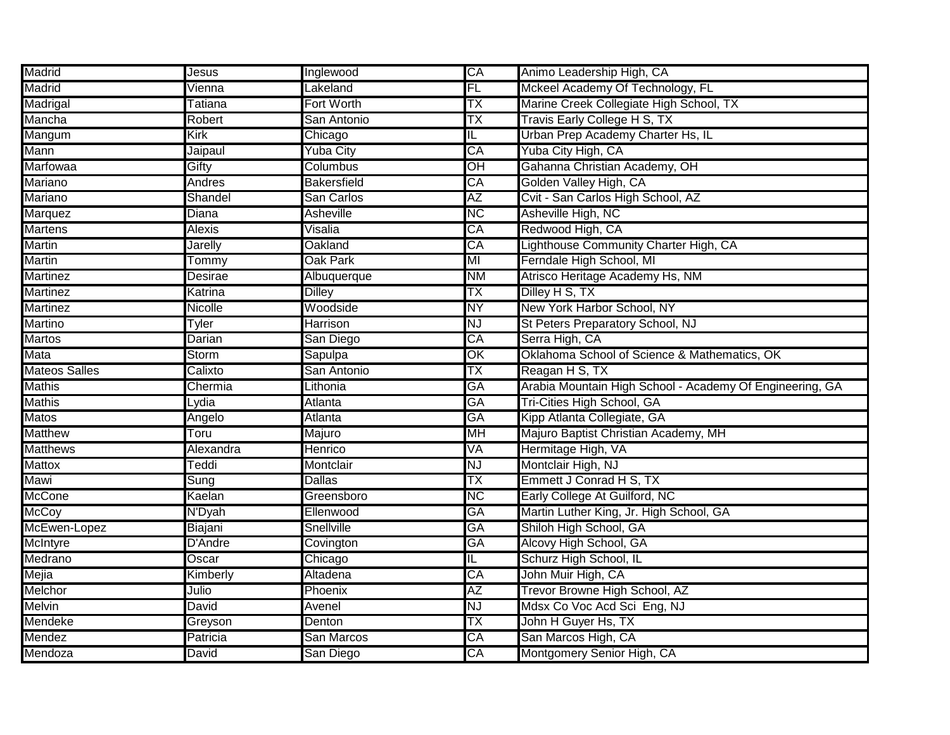| Madrid               | <b>Jesus</b>      | Inglewood          | CA        | Animo Leadership High, CA                                |
|----------------------|-------------------|--------------------|-----------|----------------------------------------------------------|
| Madrid               | Vienna            | <b>Lakeland</b>    | FL        | Mckeel Academy Of Technology, FL                         |
| Madrigal             | Tatiana           | Fort Worth         | ТX        | Marine Creek Collegiate High School, TX                  |
| Mancha               | Robert            | San Antonio        | ТX        | Travis Early College H S, TX                             |
| Mangum               | Kirk              | Chicago            | IL        | Urban Prep Academy Charter Hs, IL                        |
| Mann                 | Jaipaul           | Yuba City          | CA        | Yuba City High, CA                                       |
| Marfowaa             | Gifty             | Columbus           | OH        | Gahanna Christian Academy, OH                            |
| Mariano              | Andres            | <b>Bakersfield</b> | CA        | Golden Valley High, CA                                   |
| <b>Mariano</b>       | Shandel           | San Carlos         | AΖ        | Cvit - San Carlos High School, AZ                        |
| Marquez              | Diana             | <b>Asheville</b>   | <b>NC</b> | Asheville High, NC                                       |
| <b>Martens</b>       | <b>Alexis</b>     | Visalia            | CA        | Redwood High, CA                                         |
| <b>Martin</b>        | <b>Jarelly</b>    | Oakland            | CA        | Lighthouse Community Charter High, CA                    |
| <b>Martin</b>        | Tommy             | <b>Oak Park</b>    | ΜI        | Ferndale High School, MI                                 |
| <b>Martinez</b>      | <b>Desirae</b>    | Albuquerque        | <b>NM</b> | Atrisco Heritage Academy Hs, NM                          |
| <b>Martinez</b>      | Katrina           | <b>Dilley</b>      | ТX        | Dilley H S, TX                                           |
| <b>Martinez</b>      | <b>Nicolle</b>    | Woodside           | NΥ        | New York Harbor School, NY                               |
| Martino              | Tyler             | Harrison           | <b>NJ</b> | St Peters Preparatory School, NJ                         |
| <b>Martos</b>        | Darian            | San Diego          | CA        | Serra High, CA                                           |
| Mata                 | Storm             | Sapulpa            | OK        | Oklahoma School of Science & Mathematics, OK             |
|                      |                   |                    |           |                                                          |
| <b>Mateos Salles</b> | Calixto           | San Antonio        | TX        | Reagan H S, TX                                           |
| <b>Mathis</b>        | Chermia           | Lithonia           | <b>GA</b> | Arabia Mountain High School - Academy Of Engineering, GA |
| <b>Mathis</b>        | Lydia             | Atlanta            | GA        | <b>Tri-Cities High School, GA</b>                        |
| <b>Matos</b>         | Angelo            | Atlanta            | GA        | Kipp Atlanta Collegiate, GA                              |
| <b>Matthew</b>       | Toru              | Majuro             | MН        | Majuro Baptist Christian Academy, MH                     |
| <b>Matthews</b>      | Alexandra         | Henrico            | VA        | Hermitage High, VA                                       |
| <b>Mattox</b>        | Teddi             | Montclair          | ΝJ        | Montclair High, NJ                                       |
| Mawi                 | Sung              | <b>Dallas</b>      | ТX        | Emmett J Conrad H S, TX                                  |
| <b>McCone</b>        | Kaelan            | Greensboro         | <b>NC</b> | Early College At Guilford, NC                            |
| <b>McCoy</b>         | N'Dyah            | Ellenwood          | GA        | Martin Luther King, Jr. High School, GA                  |
| McEwen-Lopez         | Biajani           | Snellville         | GA        | Shiloh High School, GA                                   |
| McIntyre             | D'Andre           | Covington          | GA        | Alcovy High School, GA                                   |
| Medrano              | Oscar             | Chicago            | IL        | Schurz High School, IL                                   |
| Mejia                | Kimberly          | Altadena           | CA        | John Muir High, CA                                       |
| Melchor              | Julio             | Phoenix            | AΖ        | Trevor Browne High School, AZ                            |
| <b>Melvin</b>        | David             | Avenel             | <b>NJ</b> | Mdsx Co Voc Acd Sci Eng, NJ                              |
| Mendeke              | Greyson           | Denton             | TX        | John H Guyer Hs, TX                                      |
| Mendez<br>Mendoza    | Patricia<br>David | San Marcos         | CA<br>CA  | San Marcos High, CA<br>Montgomery Senior High, CA        |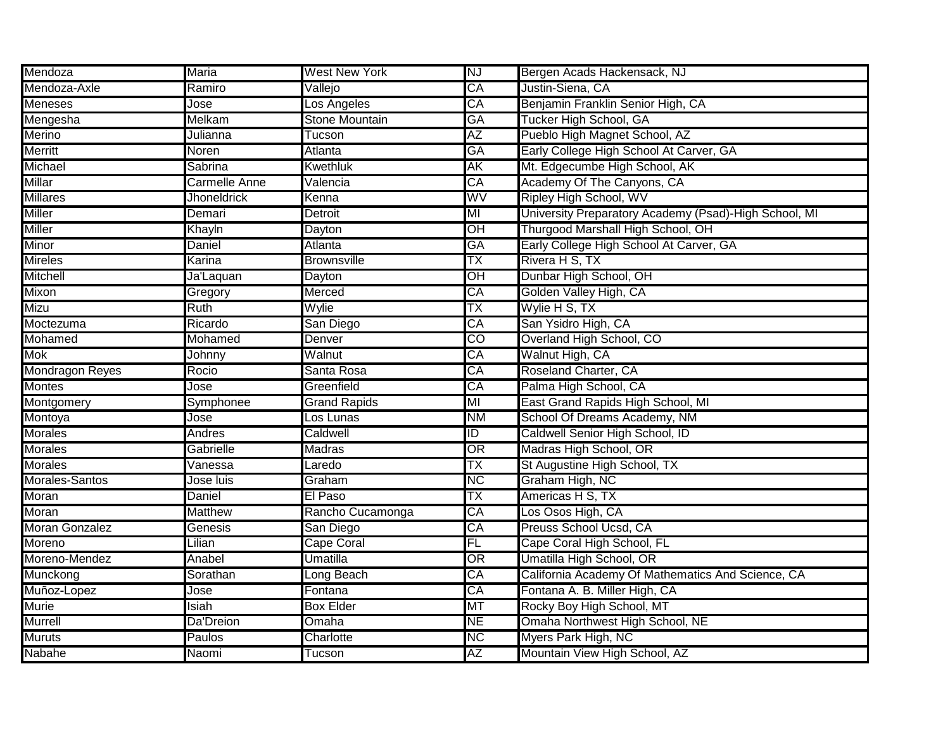| Mendoza                | <b>Maria</b>         | <b>West New York</b>  | NJ                       | Bergen Acads Hackensack, NJ                           |
|------------------------|----------------------|-----------------------|--------------------------|-------------------------------------------------------|
| Mendoza-Axle           | Ramiro               | Vallejo               | CA                       | Justin-Siena, CA                                      |
| Meneses                | Jose                 | Los Angeles           | $\overline{\mathsf{CA}}$ | Benjamin Franklin Senior High, CA                     |
| Mengesha               | Melkam               | <b>Stone Mountain</b> | GA                       | Tucker High School, GA                                |
| <b>Merino</b>          | Julianna             | Tucson                | AΖ                       | Pueblo High Magnet School, AZ                         |
| Merritt                | Noren                | Atlanta               | GA                       | Early College High School At Carver, GA               |
| Michael                | Sabrina              | <b>Kwethluk</b>       | ΑK                       | Mt. Edgecumbe High School, AK                         |
| <b>Millar</b>          | <b>Carmelle Anne</b> | Valencia              | CA                       | Academy Of The Canyons, CA                            |
| <b>Millares</b>        | <b>Jhoneldrick</b>   | Kenna                 | WV                       | Ripley High School, WV                                |
| Miller                 | Demari               | Detroit               | MI                       | University Preparatory Academy (Psad)-High School, MI |
| Miller                 | Khayln               | Dayton                | ЮH                       | Thurgood Marshall High School, OH                     |
| Minor                  | Daniel               | Atlanta               | GA                       | Early College High School At Carver, GA               |
| <b>Mireles</b>         | Karina               | <b>Brownsville</b>    | TX                       | Rivera H S, TX                                        |
| <b>Mitchell</b>        | Ja'Laquan            | Dayton                | OH                       | Dunbar High School, OH                                |
| Mixon                  | Gregory              | Merced                | CA                       | Golden Valley High, CA                                |
| Mizu                   | Ruth                 | Wylie                 | ТX                       | Wylie H S, TX                                         |
| Moctezuma              | Ricardo              | San Diego             | CA                       | San Ysidro High, CA                                   |
| Mohamed                | <b>Mohamed</b>       | Denver                | $\overline{CO}$          | Overland High School, CO                              |
| <b>Mok</b>             | Johnny               | Walnut                | CA                       | Walnut High, CA                                       |
| <b>Mondragon Reyes</b> | Rocio                | Santa Rosa            | CA                       | Roseland Charter, CA                                  |
| <b>Montes</b>          | Jose                 | Greenfield            | CA                       | Palma High School, CA                                 |
| Montgomery             | Symphonee            | <b>Grand Rapids</b>   | MI                       | East Grand Rapids High School, MI                     |
| Montoya                | Jose                 | Los Lunas             | ΝM                       | School Of Dreams Academy, NM                          |
| <b>Morales</b>         | Andres               | Caldwell              | ID                       | Caldwell Senior High School, ID                       |
| <b>Morales</b>         | Gabrielle            | Madras                | OR                       | Madras High School, OR                                |
| <b>Morales</b>         | Vanessa              | _aredo                | ТX                       | St Augustine High School, TX                          |
| Morales-Santos         | Jose luis            | Graham                | <b>NC</b>                | Graham High, NC                                       |
| Moran                  | Daniel               | El Paso               | ТX                       | Americas H S, TX                                      |
| Moran                  | <b>Matthew</b>       | Rancho Cucamonga      | CA                       | Los Osos High, CA                                     |
| <b>Moran Gonzalez</b>  | Genesis              | San Diego             | CA                       | Preuss School Ucsd, CA                                |
| Moreno                 | Lilian               | Cape Coral            | FL                       | Cape Coral High School, FL                            |
| Moreno-Mendez          | Anabel               | Umatilla              | OR                       | Umatilla High School, OR                              |
| Munckong               | Sorathan             | ong Beach             | СA                       | California Academy Of Mathematics And Science, CA     |
| Muñoz-Lopez            | Jose                 | Fontana               | CA                       | Fontana A. B. Miller High, CA                         |
| <b>Murie</b>           | Isiah                | <b>Box Elder</b>      | MT                       | Rocky Boy High School, MT                             |
| Murrell                | Da'Dreion            | Omaha                 | <b>NE</b>                | Omaha Northwest High School, NE                       |
| <b>Muruts</b>          | Paulos               | Charlotte             | <b>NC</b>                | Myers Park High, NC                                   |
| Nabahe                 | Naomi                | Tucson                | <b>ΑΖ</b>                | Mountain View High School, AZ                         |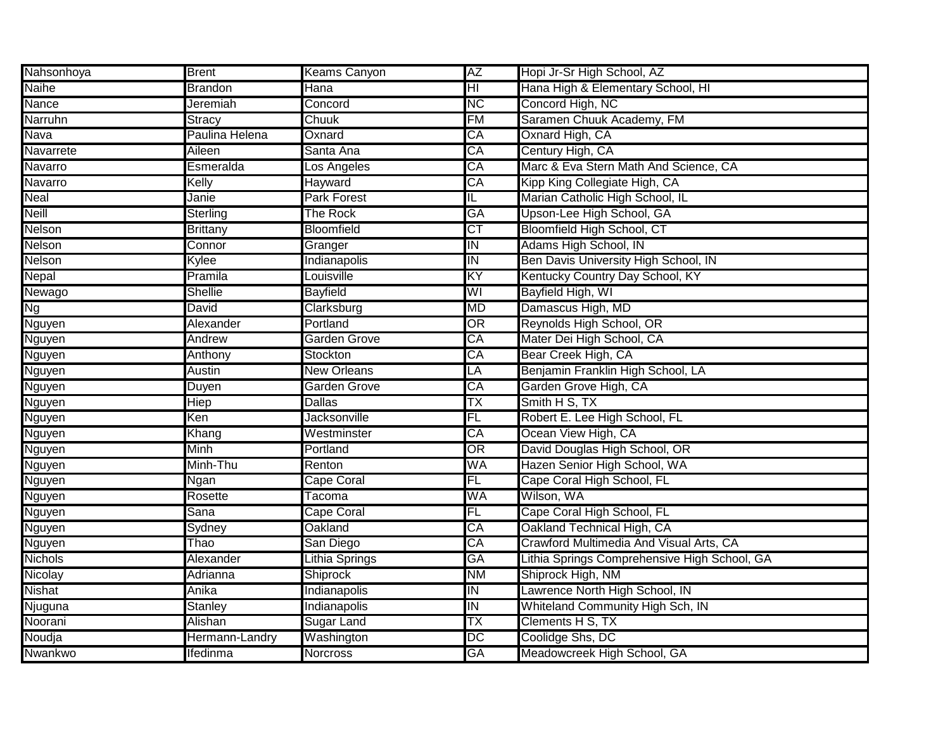| Nahsonhoya     | <b>Brent</b>    | <b>Keams Canyon</b> | ΑZ                                | Hopi Jr-Sr High School, AZ                   |
|----------------|-----------------|---------------------|-----------------------------------|----------------------------------------------|
| <b>Naihe</b>   | <b>Brandon</b>  | Hana                | $\overline{\mathsf{H}\mathsf{I}}$ | Hana High & Elementary School, HI            |
| Nance          | Jeremiah        | Concord             | <b>NC</b>                         | Concord High, NC                             |
| Narruhn        | <b>Stracy</b>   | Chuuk               | FM                                | Saramen Chuuk Academy, FM                    |
| Nava           | Paulina Helena  | Oxnard              | CA                                | Oxnard High, CA                              |
| Navarrete      | Aileen          | Santa Ana           | CA                                | Century High, CA                             |
| Navarro        | Esmeralda       | Los Angeles         | CA                                | Marc & Eva Stern Math And Science, CA        |
| Navarro        | Kelly           | Hayward             | CA                                | Kipp King Collegiate High, CA                |
| <b>Neal</b>    | Janie           | <b>Park Forest</b>  | IL                                | Marian Catholic High School, IL              |
| <b>Neill</b>   | Sterling        | <b>The Rock</b>     | GA                                | Upson-Lee High School, GA                    |
| Nelson         | <b>Brittany</b> | <b>Bloomfield</b>   | СT                                | Bloomfield High School, CT                   |
| Nelson         | Connor          | Granger             | IN                                | Adams High School, IN                        |
| Nelson         | Kylee           | Indianapolis        | IN                                | Ben Davis University High School, IN         |
| <b>Nepal</b>   | Pramila         | Louisville          | ΚY                                | Kentucky Country Day School, KY              |
| Newago         | <b>Shellie</b>  | <b>Bayfield</b>     | WI                                | Bayfield High, WI                            |
| <b>Ng</b>      | David           | Clarksburg          | MD                                | Damascus High, MD                            |
| Nguyen         | Alexander       | Portland            | OR                                | Reynolds High School, OR                     |
| Nguyen         | Andrew          | Garden Grove        | CA                                | Mater Dei High School, CA                    |
| Nguyen         | Anthony         | Stockton            | CA                                | Bear Creek High, CA                          |
| Nguyen         | <b>Austin</b>   | <b>New Orleans</b>  | LA                                | Benjamin Franklin High School, LA            |
| Nguyen         | Duyen           | Garden Grove        | CA                                | Garden Grove High, CA                        |
| Nguyen         | Hiep            | <b>Dallas</b>       | TΧ                                | Smith H S, TX                                |
| Nguyen         | Ken             | Jacksonville        | FL                                | Robert E. Lee High School, FL                |
| Nguyen         | Khang           | Westminster         | CA                                | Ocean View High, CA                          |
| Nguyen         | <b>Minh</b>     | Portland            | OR                                | David Douglas High School, OR                |
| Nguyen         | Minh-Thu        | Renton              | WA                                | Hazen Senior High School, WA                 |
| Nguyen         | Ngan            | Cape Coral          | FL                                | Cape Coral High School, FL                   |
| Nguyen         | Rosette         | Tacoma              | WA                                | Wilson, WA                                   |
| Nguyen         | Sana            | Cape Coral          | FL                                | Cape Coral High School, FL                   |
| Nguyen         | Sydney          | Oakland             | CA                                | Oakland Technical High, CA                   |
| Nguyen         | Thao            | San Diego           | CA                                | Crawford Multimedia And Visual Arts, CA      |
| <b>Nichols</b> | Alexander       | Lithia Springs      | GA                                | Lithia Springs Comprehensive High School, GA |
| Nicolay        | Adrianna        | <b>Shiprock</b>     | ΝM                                | Shiprock High, NM                            |
| <b>Nishat</b>  | Anika           | Indianapolis        | IN                                | Lawrence North High School, IN               |
| Njuguna        | <b>Stanley</b>  | <b>Indianapolis</b> | IN                                | <b>Whiteland Community High Sch, IN</b>      |
| Noorani        | Alishan         | <b>Sugar Land</b>   | TX                                | Clements H S, TX                             |
| Noudja         | Hermann-Landry  | Washington          | $\overline{DC}$                   | Coolidge Shs, DC                             |
| <b>Nwankwo</b> | Ifedinma        | Norcross            | <b>GA</b>                         | Meadowcreek High School, GA                  |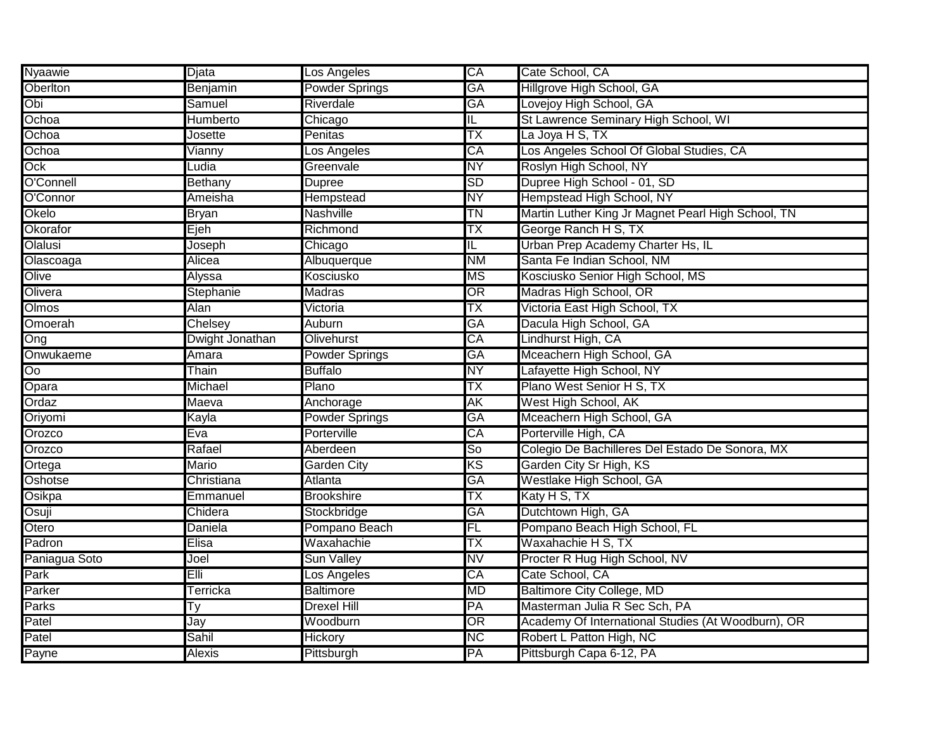| <b>Nyaawie</b> | Djata           | Los Angeles           | CA                      | Cate School, CA                                    |
|----------------|-----------------|-----------------------|-------------------------|----------------------------------------------------|
| Oberlton       | Benjamin        | <b>Powder Springs</b> | <b>GA</b>               | Hillgrove High School, GA                          |
| Obi            | Samuel          | <b>Riverdale</b>      | GA                      | Lovejoy High School, GA                            |
| Ochoa          | <b>Humberto</b> | Chicago               | $\overline{\mathsf{L}}$ | St Lawrence Seminary High School, WI               |
| Ochoa          | Josette         | Penitas               | ТX                      | La Joya H S, TX                                    |
| Ochoa          | Vianny          | Los Angeles           | CA                      | Los Angeles School Of Global Studies, CA           |
| Ock            | Ludia           | Greenvale             | <b>NY</b>               | Roslyn High School, NY                             |
| O'Connell      | Bethany         | Dupree                | <b>SD</b>               | Dupree High School - 01, SD                        |
| O'Connor       | Ameisha         | Hempstead             | <b>NY</b>               | Hempstead High School, NY                          |
| Okelo          | <b>Bryan</b>    | <b>Nashville</b>      | <b>TN</b>               | Martin Luther King Jr Magnet Pearl High School, TN |
| Okorafor       | Ejeh            | Richmond              | TX                      | George Ranch H S, TX                               |
| Olalusi        | Joseph          | Chicago               | IL                      | Urban Prep Academy Charter Hs, IL                  |
| Olascoaga      | Alicea          | Albuquerque           | <b>NM</b>               | Santa Fe Indian School, NM                         |
| Olive          | Alyssa          | Kosciusko             | МS                      | Kosciusko Senior High School, MS                   |
| Olivera        | Stephanie       | <b>Madras</b>         | OR                      | Madras High School, OR                             |
| <b>Olmos</b>   | Alan            | Victoria              | ТX                      | Victoria East High School, TX                      |
| Omoerah        | Chelsey         | <b>Auburn</b>         | <b>GA</b>               | Dacula High School, GA                             |
| Ong            | Dwight Jonathan | <b>Olivehurst</b>     | CA                      | Lindhurst High, CA                                 |
| Onwukaeme      | Amara           | Powder Springs        | <b>GA</b>               | Mceachern High School, GA                          |
| $\overline{O}$ | Thain           | <b>Buffalo</b>        | <b>NY</b>               | Lafayette High School, NY                          |
| Opara          | Michael         | Plano                 | ТX                      | Plano West Senior H S, TX                          |
| Ordaz          | Maeva           | Anchorage             | AK                      | West High School, AK                               |
| Oriyomi        | Kayla           | <b>Powder Springs</b> | GA                      | Mceachern High School, GA                          |
| Orozco         | Eva             | <b>Porterville</b>    | CA                      | Porterville High, CA                               |
| Orozco         | Rafael          | Aberdeen              | So                      | Colegio De Bachilleres Del Estado De Sonora, MX    |
| Ortega         | Mario           | Garden City           | KS                      | Garden City Sr High, KS                            |
| Oshotse        | Christiana      | Atlanta               | <b>GA</b>               | Westlake High School, GA                           |
| Osikpa         | Emmanuel        | <b>Brookshire</b>     | ТX                      | Katy H S, TX                                       |
| Osuji          | Chidera         | Stockbridge           | <b>GA</b>               | Dutchtown High, GA                                 |
| Otero          | Daniela         | Pompano Beach         | FL                      | Pompano Beach High School, FL                      |
| Padron         | Elisa           | Waxahachie            | ТX                      | Waxahachie H S, TX                                 |
| Paniagua Soto  | Joel            | Sun Valley            | NV                      | Procter R Hug High School, NV                      |
| Park           | Elli            | Los Angeles           | CA                      | Cate School, CA                                    |
| Parker         | Terricka        | <b>Baltimore</b>      | MD                      | <b>Baltimore City College, MD</b>                  |
| Parks          | Ty              | Drexel Hill           | PA                      | Masterman Julia R Sec Sch, PA                      |
| Patel          | Jay             | Woodburn              | OR                      | Academy Of International Studies (At Woodburn), OR |
| Patel          | Sahil           | Hickory               | <b>NC</b>               | Robert L Patton High, NC                           |
| Payne          | <b>Alexis</b>   | Pittsburgh            | PA                      | Pittsburgh Capa 6-12, PA                           |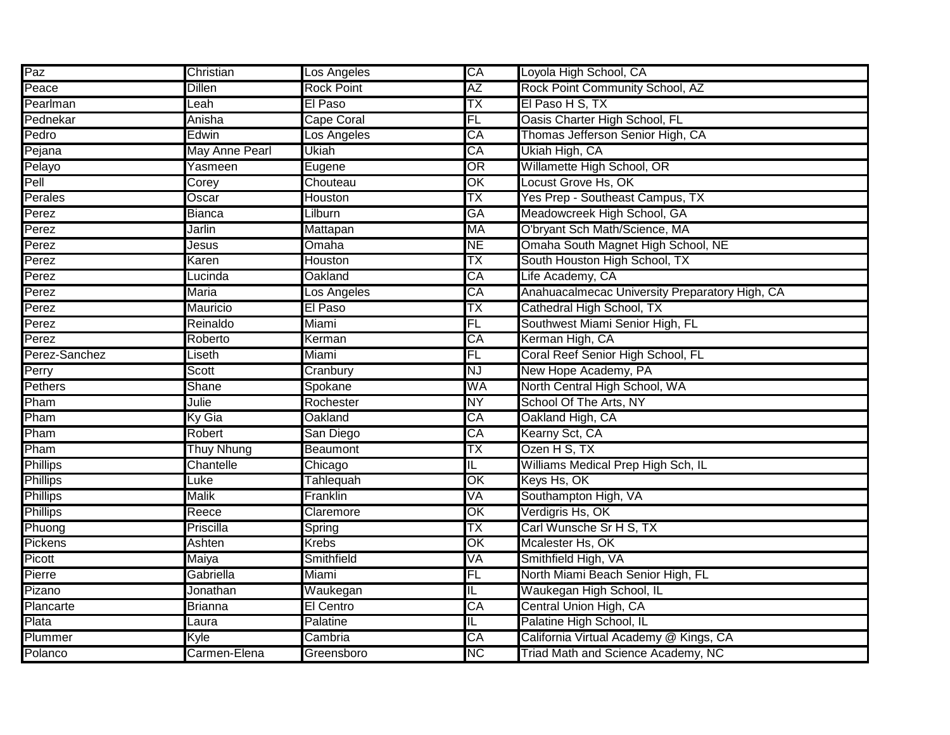| Paz             | Christian             | Los Angeles       | CA                      | Loyola High School, CA                         |
|-----------------|-----------------------|-------------------|-------------------------|------------------------------------------------|
| Peace           | Dillen                | <b>Rock Point</b> | AZ                      | Rock Point Community School, AZ                |
| Pearlman        | Leah                  | El Paso           | ТX                      | El Paso H S, TX                                |
| Pednekar        | Anisha                | Cape Coral        | FL                      | Oasis Charter High School, FL                  |
| Pedro           | Edwin                 | Los Angeles       | CA                      | Thomas Jefferson Senior High, CA               |
| Pejana          | <b>May Anne Pearl</b> | Ukiah             | CA                      | Ukiah High, CA                                 |
| Pelayo          | Yasmeen               | Eugene            | OR                      | Willamette High School, OR                     |
| Pell            | Corey                 | Chouteau          | OK                      | Locust Grove Hs, OK                            |
| Perales         | Oscar                 | Houston           | TX                      | Yes Prep - Southeast Campus, TX                |
| Perez           | <b>Bianca</b>         | Lilburn           | <b>GA</b>               | Meadowcreek High School, GA                    |
| Perez           | Jarlin                | Mattapan          | <b>MA</b>               | O'bryant Sch Math/Science, MA                  |
| Perez           | Jesus                 | Omaha             | <b>NE</b>               | Omaha South Magnet High School, NE             |
| Perez           | Karen                 | Houston           | TΧ                      | South Houston High School, TX                  |
| Perez           | Lucinda               | Oakland           | CA                      | Life Academy, CA                               |
| Perez           | Maria                 | Los Angeles       | CA                      | Anahuacalmecac University Preparatory High, CA |
| Perez           | <b>Mauricio</b>       | El Paso           | TX                      | Cathedral High School, TX                      |
| Perez           | Reinaldo              | Miami             | FL                      | Southwest Miami Senior High, FL                |
| Perez           | Roberto               | Kerman            | CA                      | Kerman High, CA                                |
| Perez-Sanchez   | Liseth                | Miami             | FL                      | Coral Reef Senior High School, FL              |
| Perry           | Scott                 | Cranbury          | <b>NJ</b>               | New Hope Academy, PA                           |
| Pethers         | Shane                 | Spokane           | WA                      | North Central High School, WA                  |
| Pham            | Julie                 | Rochester         | <b>NY</b>               | School Of The Arts, NY                         |
| Pham            | Ky Gia                | Oakland           | CA                      | Oakland High, CA                               |
| Pham            | Robert                | San Diego         | CA                      | Kearny Sct, CA                                 |
| Pham            | <b>Thuy Nhung</b>     | <b>Beaumont</b>   | ТX                      | Ozen H S, TX                                   |
| <b>Phillips</b> | Chantelle             | Chicago           | IL                      | Williams Medical Prep High Sch, IL             |
| <b>Phillips</b> | Luke                  | Tahlequah         | OK                      | Keys Hs, OK                                    |
| <b>Phillips</b> | <b>Malik</b>          | Franklin          | VÄ                      | Southampton High, VA                           |
| <b>Phillips</b> | Reece                 | Claremore         | OK                      | Verdigris Hs, OK                               |
| Phuong          | Priscilla             | Spring            | TX                      | Carl Wunsche Sr H S, TX                        |
| Pickens         | Ashten                | <b>Krebs</b>      | OK                      | Mcalester Hs, OK                               |
| Picott          | Maiya                 | Smithfield        | VA                      | Smithfield High, VA                            |
| Pierre          | Gabriella             | Miami             | FL                      | North Miami Beach Senior High, FL              |
| Pizano          | Jonathan              | Waukegan          | ΙL                      | Waukegan High School, IL                       |
| Plancarte       | <b>Brianna</b>        | El Centro         | CA                      | Central Union High, CA                         |
| Plata           | Laura                 | Palatine          | $\overline{\mathsf{L}}$ | Palatine High School, IL                       |
| Plummer         | Kyle                  | Cambria           | CA                      | California Virtual Academy @ Kings, CA         |
| Polanco         | Carmen-Elena          | Greensboro        | <b>NC</b>               | Triad Math and Science Academy, NC             |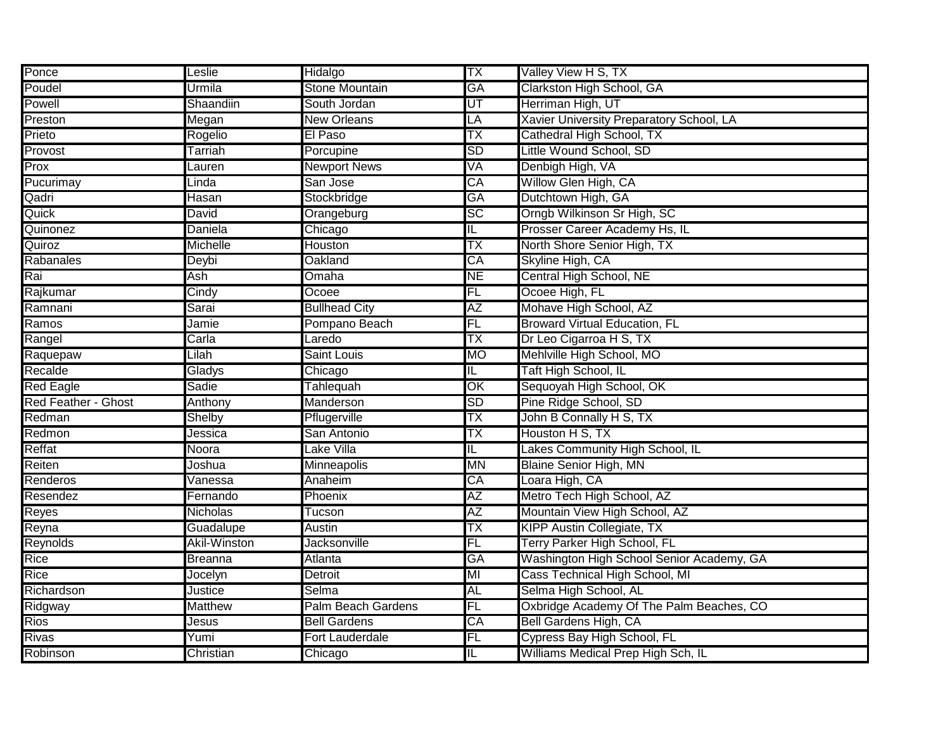| Ponce                      | Leslie              | Hidalgo                   | ТX                       | Valley View H S, TX                       |
|----------------------------|---------------------|---------------------------|--------------------------|-------------------------------------------|
| Poudel                     | Urmila              | Stone Mountain            | <b>GA</b>                | Clarkston High School, GA                 |
| <b>Powell</b>              | Shaandiin           | South Jordan              | $\overline{\mathsf{UT}}$ | Herriman High, UT                         |
| Preston                    | Megan               | New Orleans               | LÄ                       | Xavier University Preparatory School, LA  |
| Prieto                     | Rogelio             | El Paso                   | TΧ                       | Cathedral High School, TX                 |
| Provost                    | Tarriah             | Porcupine                 | <b>SD</b>                | Little Wound School, SD                   |
| Prox                       | Lauren              | <b>Newport News</b>       | VA                       | Denbigh High, VA                          |
| Pucurimay                  | Linda               | San Jose                  | CA                       | Willow Glen High, CA                      |
| Qadri                      | <b>Hasan</b>        | Stockbridge               | GA                       | Dutchtown High, GA                        |
| Quick                      | David               | Orangeburg                | $\overline{SC}$          | Orngb Wilkinson Sr High, SC               |
| Quinonez                   | Daniela             | Chicago                   | IL                       | Prosser Career Academy Hs, IL             |
| Quiroz                     | <b>Michelle</b>     | Houston                   | TΧ                       | North Shore Senior High, TX               |
| Rabanales                  | Deybi               | Oakland                   | CA                       | Skyline High, CA                          |
| Rai                        | Ash                 | Omaha                     | <b>NE</b>                | Central High School, NE                   |
| Rajkumar                   | Cindy               | Ocoee                     | FL                       | Ocoee High, FL                            |
| Ramnani                    | Sarai               | <b>Bullhead City</b>      | <b>AZ</b>                | Mohave High School, AZ                    |
| Ramos                      | Jamie               | Pompano Beach             | FL                       | <b>Broward Virtual Education, FL</b>      |
| Rangel                     | Carla               | Laredo                    | ТX                       | Dr Leo Cigarroa H S, TX                   |
| Raquepaw                   | Lilah               | <b>Saint Louis</b>        | <b>MO</b>                | Mehlville High School, MO                 |
| Recalde                    | Gladys              | Chicago                   | IL                       | Taft High School, IL                      |
| <b>Red Eagle</b>           | Sadie               | Tahlequah                 | $\overline{\text{OK}}$   | Sequoyah High School, OK                  |
| <b>Red Feather - Ghost</b> | Anthony             | Manderson                 | SD                       | Pine Ridge School, SD                     |
| Redman                     | Shelby              | Pflugerville              | ТX                       | John B Connally H S, TX                   |
| Redmon                     | Jessica             | San Antonio               | ТX                       | Houston H S, TX                           |
| Reffat                     | Noora               | Lake Villa                | IL                       | Lakes Community High School, IL           |
| Reiten                     | Joshua              | Minneapolis               | <b>MN</b>                | <b>Blaine Senior High, MN</b>             |
| Renderos                   | Vanessa             | Anaheim                   | CA                       | Loara High, CA                            |
| Resendez                   | Fernando            | Phoenix                   | <b>AZ</b>                | Metro Tech High School, AZ                |
| Reyes                      | <b>Nicholas</b>     | Tucson                    | AZ                       | Mountain View High School, AZ             |
| Reyna                      | Guadalupe           | Austin                    | TΧ                       | <b>KIPP Austin Collegiate, TX</b>         |
| <b>Reynolds</b>            | <b>Akil-Winston</b> | <b>Jacksonville</b>       | FL                       | <b>Terry Parker High School, FL</b>       |
| Rice                       | <b>Breanna</b>      | Atlanta                   | GA                       | Washington High School Senior Academy, GA |
| Rice                       | Jocelyn             | Detroit                   | MI                       | Cass Technical High School, MI            |
| Richardson                 | Justice             | Selma                     | AL                       | Selma High School, AL                     |
| Ridgway                    | <b>Matthew</b>      | <b>Palm Beach Gardens</b> | FL                       | Oxbridge Academy Of The Palm Beaches, CO  |
| <b>Rios</b>                | Jesus               | <b>Bell Gardens</b>       | CA                       | <b>Bell Gardens High, CA</b>              |
| Rivas                      | Yumi                | <b>Fort Lauderdale</b>    | FL                       | Cypress Bay High School, FL               |
| Robinson                   | Christian           | Chicago                   | IL                       | Williams Medical Prep High Sch, IL        |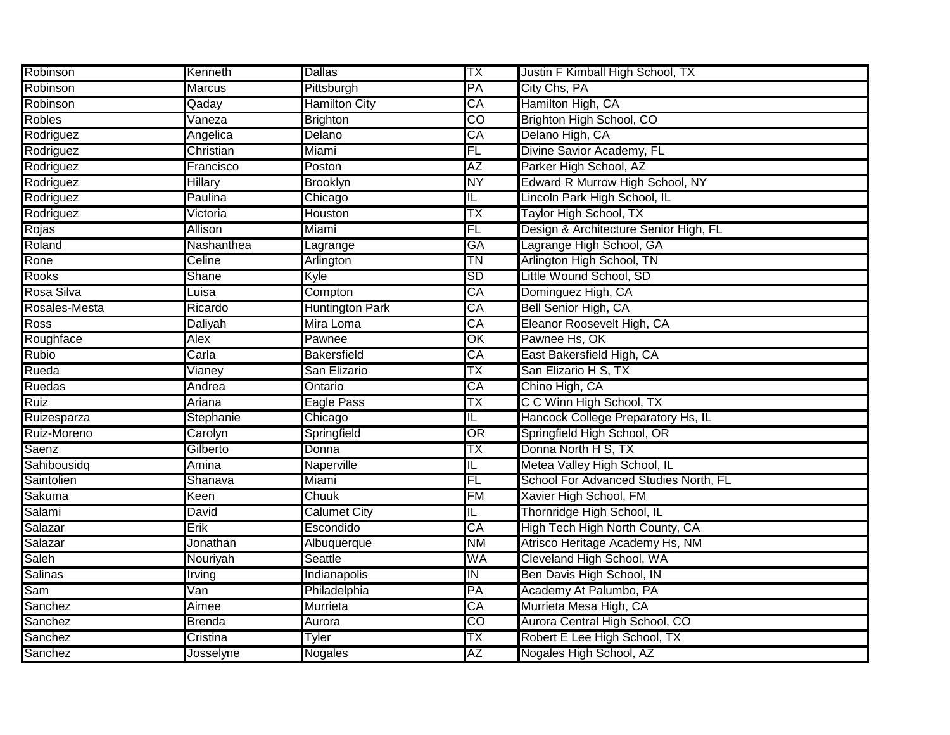| Robinson          | Kenneth        | <b>Dallas</b>          | ТX                      | Justin F Kimball High School, TX      |
|-------------------|----------------|------------------------|-------------------------|---------------------------------------|
| Robinson          | Marcus         | Pittsburgh             | PA                      | City Chs, PA                          |
| Robinson          | Qaday          | <b>Hamilton City</b>   | CA                      | Hamilton High, CA                     |
| <b>Robles</b>     | Vaneza         | <b>Brighton</b>        | $\overline{CO}$         | Brighton High School, CO              |
| Rodriguez         | Angelica       | Delano                 | CA                      | Delano High, CA                       |
| Rodriguez         | Christian      | Miami                  | FL                      | Divine Savior Academy, FL             |
| Rodriguez         | Francisco      | Poston                 | AΖ                      | Parker High School, AZ                |
| Rodriguez         | <b>Hillary</b> | <b>Brooklyn</b>        | <b>NY</b>               | Edward R Murrow High School, NY       |
| Rodriguez         | Paulina        | Chicago                | $\overline{\mathsf{L}}$ | Lincoln Park High School, IL          |
| Rodriguez         | Victoria       | <b>Houston</b>         | ТX                      | Taylor High School, TX                |
| Rojas             | Allison        | Miami                  | FL                      | Design & Architecture Senior High, FL |
| Roland            | Nashanthea     | Lagrange               | <b>GA</b>               | Lagrange High School, GA              |
| Rone              | Celine         | Arlington              | <b>TN</b>               | Arlington High School, TN             |
| <b>Rooks</b>      | Shane          | Kyle                   | <b>SD</b>               | Little Wound School, SD               |
| Rosa Silva        | Luisa          | Compton                | CA                      | Dominguez High, CA                    |
| Rosales-Mesta     | Ricardo        | <b>Huntington Park</b> | CA                      | Bell Senior High, CA                  |
| <b>Ross</b>       | Daliyah        | Mira Loma              | CA                      | Eleanor Roosevelt High, CA            |
| Roughface         | <b>Alex</b>    | Pawnee                 | OK                      | Pawnee Hs, OK                         |
| <b>Rubio</b>      | Carla          | <b>Bakersfield</b>     | CA                      | East Bakersfield High, CA             |
| Rueda             | Vianey         | San Elizario           | ТX                      | San Elizario H S, TX                  |
| <b>Ruedas</b>     | Andrea         | Ontario                | CA                      | Chino High, CA                        |
| <b>Ruiz</b>       | Ariana         | Eagle Pass             | ТX                      | C C Winn High School, TX              |
| Ruizesparza       | Stephanie      | Chicago                | IL                      | Hancock College Preparatory Hs, IL    |
| Ruiz-Moreno       | Carolyn        | Springfield            | OR                      | Springfield High School, OR           |
| Saenz             | Gilberto       | Donna                  | ТX                      | Donna North H S, TX                   |
| Sahibousidq       | Amina          | Naperville             | IL.                     | Metea Valley High School, IL          |
| <b>Saintolien</b> | Shanava        | Miami                  | FL                      | School For Advanced Studies North, FL |
| Sakuma            | Keen           | Chuuk                  | <b>FM</b>               | Xavier High School, FM                |
| Salami            | David          | <b>Calumet City</b>    | IL                      | Thornridge High School, IL            |
| Salazar           | Erik           | Escondido              | CA                      | High Tech High North County, CA       |
| Salazar           | Jonathan       | Albuquerque            | <b>NM</b>               | Atrisco Heritage Academy Hs, NM       |
| Saleh             | Nouriyah       | Seattle                | WA                      | Cleveland High School, WA             |
| Salinas           | Irving         | Indianapolis           | IN                      | Ben Davis High School, IN             |
| Sam               | Van            | Philadelphia           | PA                      | Academy At Palumbo, PA                |
| Sanchez           | Aimee          | Murrieta               | CA                      | Murrieta Mesa High, CA                |
| Sanchez           | <b>Brenda</b>  | Aurora                 | $\overline{c}$          | Aurora Central High School, CO        |
| Sanchez           | Cristina       | Tyler                  | TX                      | Robert E Lee High School, TX          |
| Sanchez           | Josselyne      | <b>Nogales</b>         | AZ                      | Nogales High School, AZ               |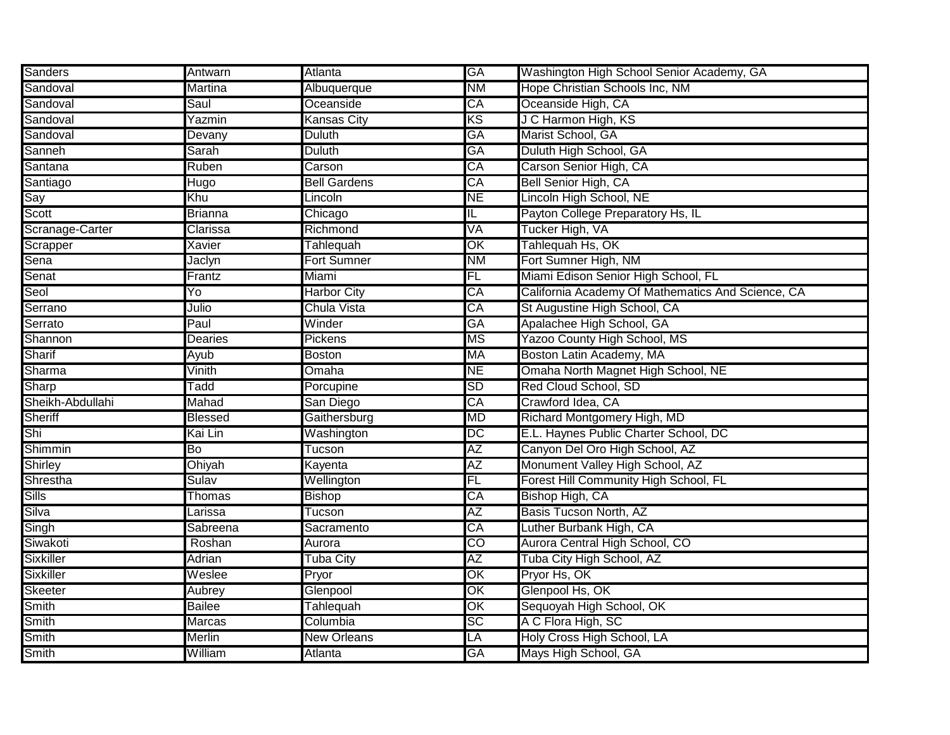| Sanders          | Antwarn        | Atlanta             | <b>GA</b>                | Washington High School Senior Academy, GA         |
|------------------|----------------|---------------------|--------------------------|---------------------------------------------------|
| Sandoval         | Martina        | Albuquerque         | N <sub>M</sub>           | Hope Christian Schools Inc, NM                    |
| Sandoval         | Saul           | Oceanside           | CA                       | Oceanside High, CA                                |
| Sandoval         | Yazmin         | Kansas City         | KS                       | J C Harmon High, KS                               |
| Sandoval         | Devany         | <b>Duluth</b>       | GA                       | Marist School, GA                                 |
| Sanneh           | Sarah          | Duluth              | GA                       | Duluth High School, GA                            |
| Santana          | Ruben          | Carson              | CA                       | Carson Senior High, CA                            |
| Santiago         | Hugo           | <b>Bell Gardens</b> | CA                       | Bell Senior High, CA                              |
| Say              | Khu            | Lincoln             | <b>NE</b>                | Lincoln High School, NE                           |
| Scott            | <b>Brianna</b> | Chicago             | IL.                      | Payton College Preparatory Hs, IL                 |
| Scranage-Carter  | Clarissa       | Richmond            | VA                       | Tucker High, VA                                   |
| Scrapper         | Xavier         | <b>Tahlequah</b>    | OK                       | Tahlequah Hs, OK                                  |
| Sena             | Jaclyn         | <b>Fort Sumner</b>  | <b>NM</b>                | Fort Sumner High, NM                              |
| Senat            | Frantz         | Miami               | FL                       | Miami Edison Senior High School, FL               |
| Seol             | Yo             | <b>Harbor City</b>  | CA                       | California Academy Of Mathematics And Science, CA |
| Serrano          | Julio          | Chula Vista         | СA                       | St Augustine High School, CA                      |
| Serrato          | Paul           | Winder              | GA                       | Apalachee High School, GA                         |
| <b>Shannon</b>   | Dearies        | Pickens             | <b>MS</b>                | Yazoo County High School, MS                      |
| Sharif           | Ayub           | <b>Boston</b>       | MA                       | Boston Latin Academy, MA                          |
| Sharma           | Vinith         | Omaha               | <b>NE</b>                | Omaha North Magnet High School, NE                |
| Sharp            | Tadd           | Porcupine           | SD                       | Red Cloud School, SD                              |
| Sheikh-Abdullahi | Mahad          | San Diego           | CA                       | Crawford Idea, CA                                 |
| Sheriff          | Blessed        | Gaithersburg        | MD                       | Richard Montgomery High, MD                       |
| Shi              | Kai Lin        | Washington          | DC                       | E.L. Haynes Public Charter School, DC             |
| Shimmin          | Bo             | Tucson              | ΑZ                       | Canyon Del Oro High School, AZ                    |
| Shirley          | Ohiyah         | Kayenta             | AΖ                       | Monument Valley High School, AZ                   |
| Shrestha         | Sulav          | Wellington          | FL                       | Forest Hill Community High School, FL             |
| Sills            | Thomas         | <b>Bishop</b>       | CA                       | Bishop High, CA                                   |
| Silva            | Larissa        | Tucson              | AΖ                       | <b>Basis Tucson North, AZ</b>                     |
| Singh            | Sabreena       | Sacramento          | CA                       | Luther Burbank High, CA                           |
| Siwakoti         | Roshan         | Aurora              | $\overline{CO}$          | Aurora Central High School, CO                    |
| Sixkiller        | Adrian         | <b>Tuba City</b>    | AΖ                       | Tuba City High School, AZ                         |
| Sixkiller        | Weslee         | Pryor               | OK                       | Pryor Hs, OK                                      |
| Skeeter          | Aubrey         | Glenpool            | OK                       | Glenpool Hs, OK                                   |
| Smith            | <b>Bailee</b>  | <b>Tahlequah</b>    | $\overline{\mathsf{OK}}$ | Sequoyah High School, OK                          |
| Smith            | Marcas         | Columbia            | SC                       | A C Flora High, SC                                |
| Smith            | <b>Merlin</b>  | <b>New Orleans</b>  | LA                       | Holy Cross High School, LA                        |
| <b>Smith</b>     | William        | Atlanta             | <b>GA</b>                | Mays High School, GA                              |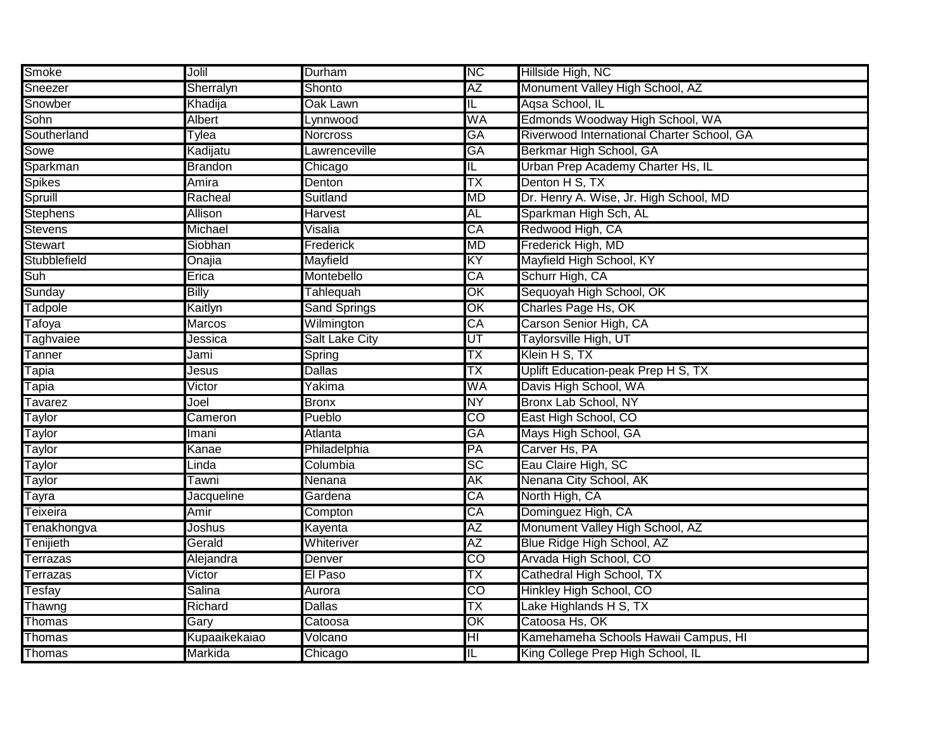| Smoke           | Jolil          | Durham                | <b>NC</b>               | Hillside High, NC                          |
|-----------------|----------------|-----------------------|-------------------------|--------------------------------------------|
| Sneezer         | Sherralyn      | Shonto                | AZ                      | Monument Valley High School, AZ            |
| Snowber         | Khadija        | Oak Lawn              | IL.                     | Agsa School, IL                            |
| Sohn            | <b>Albert</b>  | Lynnwood              | WA                      | Edmonds Woodway High School, WA            |
| Southerland     | Tylea          | <b>Norcross</b>       | GA                      | Riverwood International Charter School, GA |
| Sowe            | Kadijatu       | Lawrenceville         | GA                      | Berkmar High School, GA                    |
| Sparkman        | <b>Brandon</b> | Chicago               | IL                      | Urban Prep Academy Charter Hs, IL          |
| Spikes          | Amira          | Denton                | ТX                      | Denton H S, TX                             |
| Spruill         | Racheal        | Suitland              | <b>MD</b>               | Dr. Henry A. Wise, Jr. High School, MD     |
| <b>Stephens</b> | Allison        | Harvest               | <b>AL</b>               | Sparkman High Sch, AL                      |
| <b>Stevens</b>  | Michael        | Visalia               | CA                      | Redwood High, CA                           |
| <b>Stewart</b>  | Siobhan        | Frederick             | <b>MD</b>               | Frederick High, MD                         |
| Stubblefield    | Onajia         | Mayfield              | KY                      | Mayfield High School, KY                   |
| Suh             | Erica          | Montebello            | CA                      | Schurr High, CA                            |
| Sunday          | <b>Billy</b>   | Tahlequah             | OK                      | Sequoyah High School, OK                   |
| Tadpole         | Kaitlyn        | <b>Sand Springs</b>   | OK                      | Charles Page Hs, OK                        |
| Tafoya          | Marcos         | Wilmington            | CA                      | Carson Senior High, CA                     |
| Taghvaiee       | Jessica        | <b>Salt Lake City</b> | UT                      | Taylorsville High, UT                      |
| Tanner          | Jami           | Spring                | TX                      | Klein H S, TX                              |
| Tapia           | Jesus          | <b>Dallas</b>         | ТX                      | Uplift Education-peak Prep H S, TX         |
| Tapia           | Victor         | Yakima                | WA                      | Davis High School, WA                      |
| Tavarez         | Joel           | Bronx                 | NY                      | <b>Bronx Lab School, NY</b>                |
| Taylor          | Cameron        | Pueblo                | CO                      | East High School, CO                       |
| Taylor          | Imani          | Atlanta               | GA                      | Mays High School, GA                       |
| Taylor          | Kanae          | Philadelphia          | PA                      | Carver Hs, PA                              |
| Taylor          | Linda          | Columbia              | SC                      | Eau Claire High, SC                        |
| Taylor          | Tawni          | Nenana                | AK                      | Nenana City School, AK                     |
| Tayra           | Jacqueline     | Gardena               | CA                      | North High, CA                             |
| Teixeira        | Amir           | Compton               | CA                      | Dominguez High, CA                         |
| Tenakhongva     | Joshus         | Kayenta               | AΖ                      | Monument Valley High School, AZ            |
| Tenijieth       | Gerald         | Whiteriver            | AΖ                      | Blue Ridge High School, AZ                 |
| Terrazas        | Alejandra      | Denver                | $\overline{\text{co}}$  | Arvada High School, CO                     |
| Terrazas        | Victor         | El Paso               | ТX                      | Cathedral High School, TX                  |
| Tesfay          | Salina         | Aurora                | $\overline{\text{co}}$  | Hinkley High School, CO                    |
| <b>Thawng</b>   | Richard        | <b>Dallas</b>         | ТX                      | Lake Highlands H S, TX                     |
| Thomas          | Gary           | Catoosa               | OK                      | Catoosa Hs, OK                             |
| Thomas          | Kupaaikekaiao  | Volcano               | $\overline{\mathsf{H}}$ | Kamehameha Schools Hawaii Campus, HI       |
| Thomas          | Markida        | Chicago               | $\mathbb{L}$            | King College Prep High School, IL          |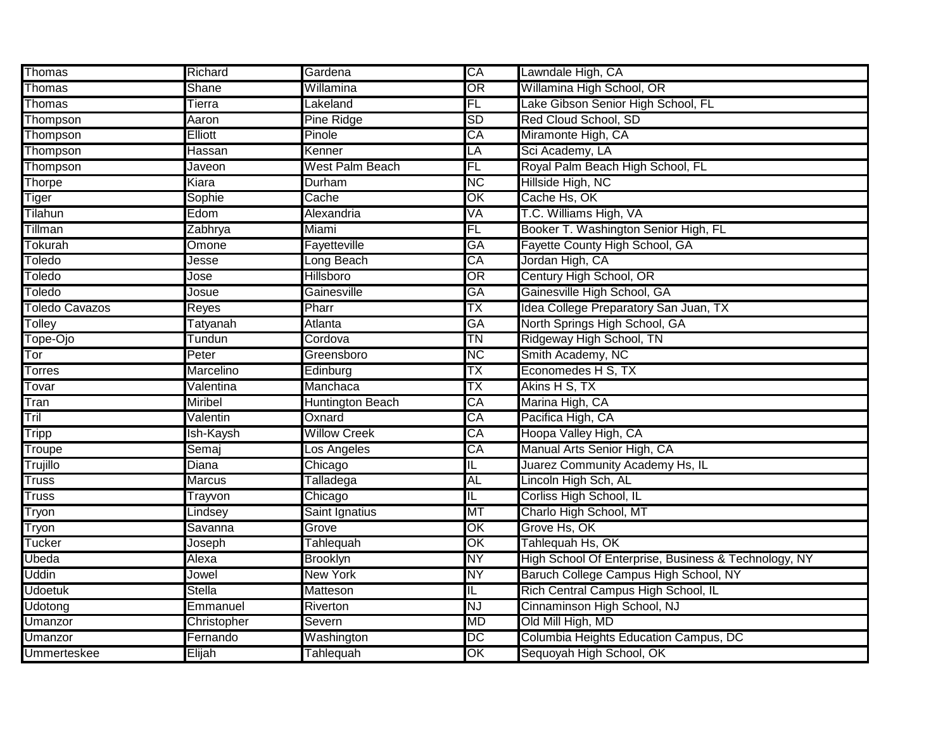| Thomas                | Richard         | Gardena                 | CA                     | Lawndale High, CA                                    |
|-----------------------|-----------------|-------------------------|------------------------|------------------------------------------------------|
| Thomas                | Shane           | Willamina               | $\overline{\text{OR}}$ | Willamina High School, OR                            |
| Thomas                | Tierra          | _akeland                | FL                     | Lake Gibson Senior High School, FL                   |
| Thompson              | Aaron           | Pine Ridge              | <b>SD</b>              | Red Cloud School, SD                                 |
| Thompson              | <b>Elliott</b>  | Pinole                  | CA                     | Miramonte High, CA                                   |
| Thompson              | Hassan          | Kenner                  | LA                     | Sci Academy, LA                                      |
| Thompson              | Javeon          | West Palm Beach         | FL                     | Royal Palm Beach High School, FL                     |
| Thorpe                | Kiara           | Durham                  | <b>NC</b>              | Hillside High, NC                                    |
| Tiger                 | Sophie          | Cache                   | OK                     | Cache Hs, OK                                         |
| Tilahun               | Edom            | Alexandria              | VA                     | T.C. Williams High, VA                               |
| Tillman               | Zabhrya         | Miami                   | FL                     | Booker T. Washington Senior High, FL                 |
| Tokurah               | Omone           | Fayetteville            | GA                     | Fayette County High School, GA                       |
| Toledo                | Jesse           | Long Beach              | CA                     | Jordan High, CA                                      |
| <b>Toledo</b>         | Jose            | <b>Hillsboro</b>        | OR                     | Century High School, OR                              |
| <b>Toledo</b>         | Josue           | Gainesville             | GA                     | Gainesville High School, GA                          |
| <b>Toledo Cavazos</b> | Reyes           | Pharr                   | ТX                     | Idea College Preparatory San Juan, TX                |
| <b>Tolley</b>         | <b>Tatyanah</b> | Atlanta                 | GA                     | North Springs High School, GA                        |
| Tope-Ojo              | Tundun          | Cordova                 | ΤN                     | Ridgeway High School, TN                             |
| Tor                   | Peter           | Greensboro              | <b>NC</b>              | Smith Academy, NC                                    |
| <b>Torres</b>         | Marcelino       | Edinburg                | ТX                     | Economedes H S, TX                                   |
| Tovar                 | Valentina       | Manchaca                | TX                     | Akins H S, TX                                        |
| Tran                  | <b>Miribel</b>  | <b>Huntington Beach</b> | CA                     | Marina High, CA                                      |
| Tril                  | Valentin        | Oxnard                  | CA                     | Pacifica High, CA                                    |
| <b>Tripp</b>          | lsh-Kaysh       | <b>Willow Creek</b>     | CA                     | Hoopa Valley High, CA                                |
| Troupe                | Semaj           | Los Angeles             | CA                     | Manual Arts Senior High, CA                          |
| Trujillo              | Diana           | Chicago                 | IL.                    | Juarez Community Academy Hs, IL                      |
| <b>Truss</b>          | Marcus          | Talladega               | AL                     | Lincoln High Sch, AL                                 |
| <b>Truss</b>          | Trayvon         | Chicago                 | IL                     | Corliss High School, IL                              |
| Tryon                 | Lindsey         | Saint Ignatius          | МT                     | Charlo High School, MT                               |
| Tryon                 | Savanna         | Grove                   | $\overline{\text{OK}}$ | Grove Hs, OK                                         |
| <b>Tucker</b>         | Joseph          | <b>Tahlequah</b>        | $\overline{\text{OK}}$ | Tahlequah Hs, OK                                     |
| Ubeda                 | Alexa           | <b>Brooklyn</b>         | NΥ                     | High School Of Enterprise, Business & Technology, NY |
| Uddin                 | Jowel           | New York                | NΥ                     | Baruch College Campus High School, NY                |
| Udoetuk               | <b>Stella</b>   | <b>Matteson</b>         | IL.                    | Rich Central Campus High School, IL                  |
| Udotong               | Emmanuel        | Riverton                | <b>NJ</b>              | Cinnaminson High School, NJ                          |
| Umanzor               | Christopher     | Severn                  | <b>MD</b>              | Old Mill High, MD                                    |
| Umanzor               | Fernando        | Washington              | $\overline{DC}$        | Columbia Heights Education Campus, DC                |
| <b>Ummerteskee</b>    | Elijah          | Tahlequah               | OK                     | Sequoyah High School, OK                             |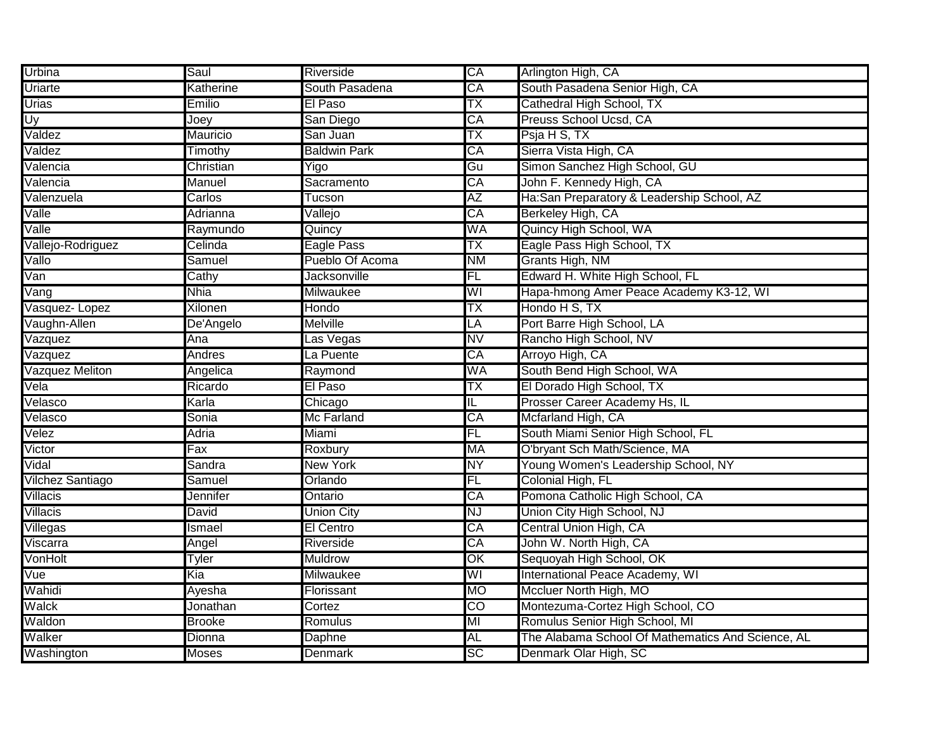| Urbina                  | Saul            | Riverside           | CA                       | Arlington High, CA                                |
|-------------------------|-----------------|---------------------|--------------------------|---------------------------------------------------|
| Uriarte                 | Katherine       | South Pasadena      | $\overline{\mathsf{CA}}$ | South Pasadena Senior High, CA                    |
| <b>Urias</b>            | Emilio          | El Paso             | ТX                       | Cathedral High School, TX                         |
| Uy                      | Joey            | San Diego           | $\overline{\mathsf{CA}}$ | Preuss School Ucsd, CA                            |
| Valdez                  | <b>Mauricio</b> | San Juan            | ТX                       | Psja H S, TX                                      |
| Valdez                  | Timothy         | <b>Baldwin Park</b> | СA                       | Sierra Vista High, CA                             |
| Valencia                | Christian       | Yigo                | Gu                       | Simon Sanchez High School, GU                     |
| Valencia                | Manuel          | Sacramento          | CA                       | John F. Kennedy High, CA                          |
| Valenzuela              | Carlos          | Tucson              | AΖ                       | Ha:San Preparatory & Leadership School, AZ        |
| Valle                   | Adrianna        | Vallejo             | CA                       | Berkeley High, CA                                 |
| Valle                   | Raymundo        | Quincy              | WA                       | Quincy High School, WA                            |
| Vallejo-Rodriguez       | Celinda         | <b>Eagle Pass</b>   | TX                       | Eagle Pass High School, TX                        |
| Vallo                   | Samuel          | Pueblo Of Acoma     | <b>NM</b>                | Grants High, NM                                   |
| Van                     | Cathy           | Jacksonville        | FL                       | Edward H. White High School, FL                   |
| Vang                    | <b>Nhia</b>     | Milwaukee           | WI                       | Hapa-hmong Amer Peace Academy K3-12, WI           |
| Vasquez-Lopez           | <b>Xilonen</b>  | Hondo               | ТX                       | Hondo H S, TX                                     |
| Vaughn-Allen            | De'Angelo       | Melville            | $\overline{\mathsf{LA}}$ | Port Barre High School, LA                        |
| Vazquez                 | Ana             | as Vegas            | NV                       | Rancho High School, NV                            |
| Vazquez                 | <b>Andres</b>   | La Puente           | CA                       | Arroyo High, CA                                   |
| Vazquez Meliton         | Angelica        | Raymond             | WA                       | South Bend High School, WA                        |
| Vela                    | Ricardo         | El Paso             | ТX                       | El Dorado High School, TX                         |
| Velasco                 | Karla           | Chicago             | $\overline{\mathsf{L}}$  | Prosser Career Academy Hs, IL                     |
| Velasco                 | Sonia           | Mc Farland          | CA                       | Mcfarland High, CA                                |
| Velez                   | Adria           | Miami               | FL                       | South Miami Senior High School, FL                |
| Victor                  | Fax             | Roxbury             | MA                       | O'bryant Sch Math/Science, MA                     |
| Vidal                   | Sandra          | <b>New York</b>     | NY                       | Young Women's Leadership School, NY               |
| <b>Vilchez Santiago</b> | Samuel          | Orlando             | FL                       | Colonial High, FL                                 |
| <b>Villacis</b>         | Jennifer        | Ontario             | CA                       | Pomona Catholic High School, CA                   |
| Villacis                | David           | <b>Union City</b>   | NJ                       | Union City High School, NJ                        |
| Villegas                | Ismael          | El Centro           | CA                       | Central Union High, CA                            |
| Viscarra                | Angel           | Riverside           | CA                       | John W. North High, CA                            |
| VonHolt                 | Tyler           | <b>Muldrow</b>      | OK                       | Sequoyah High School, OK                          |
| Vue                     | Kia             | <b>Milwaukee</b>    | WI                       | International Peace Academy, WI                   |
| Wahidi                  | Ayesha          | Florissant          | <b>MO</b>                | Mccluer North High, MO                            |
| Walck                   | Jonathan        | Cortez              | $\overline{CO}$          | Montezuma-Cortez High School, CO                  |
| Waldon                  | <b>Brooke</b>   | Romulus             | MI                       | Romulus Senior High School, MI                    |
| Walker                  | Dionna          | Daphne              | AL                       | The Alabama School Of Mathematics And Science, AL |
| Washington              | <b>Moses</b>    | <b>Denmark</b>      | SC                       | Denmark Olar High, SC                             |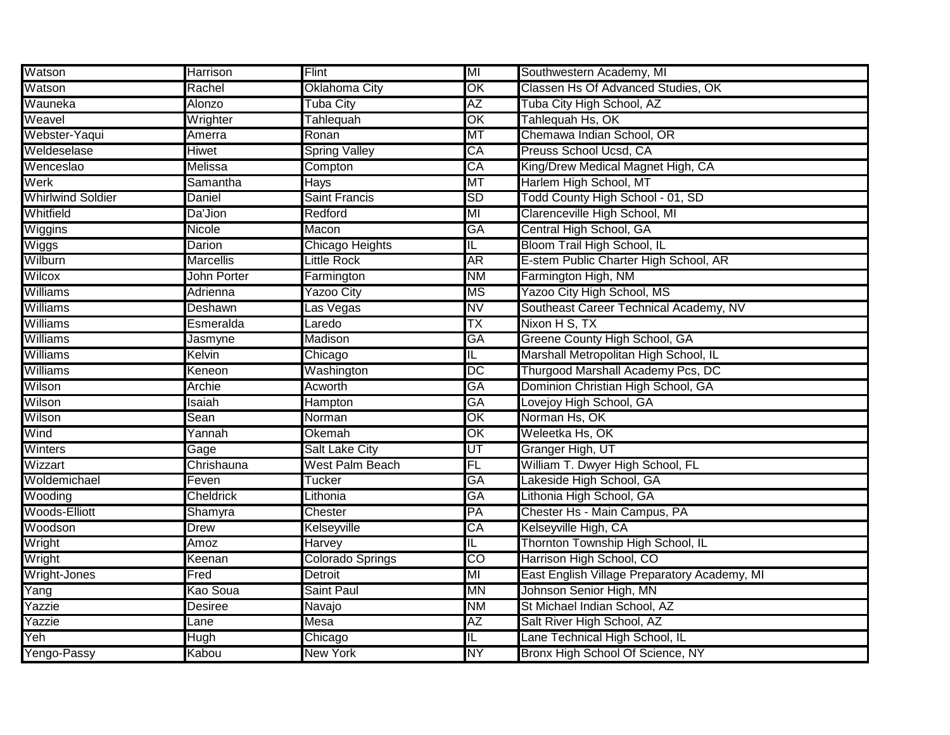| Watson                   | <b>Harrison</b>  | Flint                 | MI                      | Southwestern Academy, MI                     |
|--------------------------|------------------|-----------------------|-------------------------|----------------------------------------------|
| Watson                   | Rachel           | Oklahoma City         | OK                      | Classen Hs Of Advanced Studies, OK           |
| Wauneka                  | Alonzo           | <b>Tuba City</b>      | ΑZ                      | Tuba City High School, AZ                    |
| Weavel                   | Wrighter         | Tahlequah             | OK                      | Tahlequah Hs, OK                             |
| Webster-Yaqui            | Amerra           | Ronan                 | МT                      | Chemawa Indian School, OR                    |
| Weldeselase              | Hiwet            | <b>Spring Valley</b>  | СA                      | Preuss School Ucsd, CA                       |
| Wenceslao                | Melissa          | Compton               | CA                      | King/Drew Medical Magnet High, CA            |
| Werk                     | Samantha         | Hays                  | MT                      | Harlem High School, MT                       |
| <b>Whirlwind Soldier</b> | Daniel           | Saint Francis         | <b>SD</b>               | Todd County High School - 01, SD             |
| Whitfield                | Da'Jion          | Redford               | MI                      | Clarenceville High School, MI                |
| <b>Wiggins</b>           | Nicole           | Macon                 | GA                      | Central High School, GA                      |
| Wiggs                    | Darion           | Chicago Heights       | IL                      | Bloom Trail High School, IL                  |
| Wilburn                  | <b>Marcellis</b> | <b>Little Rock</b>    | <b>AR</b>               | E-stem Public Charter High School, AR        |
| Wilcox                   | John Porter      | Farmington            | <b>NM</b>               | Farmington High, NM                          |
| <b>Williams</b>          | Adrienna         | <b>Yazoo City</b>     | ΜS                      | Yazoo City High School, MS                   |
| <b>Williams</b>          | Deshawn          | Las Vegas             | ΝV                      | Southeast Career Technical Academy, NV       |
| Williams                 | Esmeralda        | Laredo                | ТX                      | Nixon H S, TX                                |
| <b>Williams</b>          | Jasmyne          | Madison               | GA                      | Greene County High School, GA                |
| Williams                 | Kelvin           | Chicago               | $\overline{\mathsf{L}}$ | Marshall Metropolitan High School, IL        |
| <b>Williams</b>          | Keneon           | Washington            | DC                      | Thurgood Marshall Academy Pcs, DC            |
| Wilson                   | <b>Archie</b>    | Acworth               | GA                      | Dominion Christian High School, GA           |
| Wilson                   | Isaiah           | Hampton               | GA                      | Lovejoy High School, GA                      |
| Wilson                   | Sean             | Norman                | OK                      | Norman Hs, OK                                |
| Wind                     | Yannah           | Okemah                | OK                      | Weleetka Hs, OK                              |
| Winters                  | Gage             | <b>Salt Lake City</b> | UT                      | Granger High, UT                             |
| Wizzart                  | Chrishauna       | West Palm Beach       | FL                      | William T. Dwyer High School, FL             |
| Woldemichael             | Feven            | Tucker                | GA                      | Lakeside High School, GA                     |
| Wooding                  | <b>Cheldrick</b> | Lithonia              | GA                      | Lithonia High School, GA                     |
| Woods-Elliott            | Shamyra          | Chester               | PA                      | Chester Hs - Main Campus, PA                 |
| Woodson                  | Drew             | Kelseyville           | CA                      | Kelseyville High, CA                         |
| Wright                   | <b>Amoz</b>      | Harvey                | IL.                     | Thornton Township High School, IL            |
| Wright                   | Keenan           | Colorado Springs      | CO                      | Harrison High School, CO                     |
| Wright-Jones             | Fred             | Detroit               | MI                      | East English Village Preparatory Academy, MI |
| Yang                     | Kao Soua         | Saint Paul            | ΜN                      | Johnson Senior High, MN                      |
| Yazzie                   | Desiree          | Navajo                | <b>NM</b>               | St Michael Indian School, AZ                 |
| Yazzie                   | Lane             | Mesa                  | AZ                      | Salt River High School, AZ                   |
| Yeh                      | Hugh             | Chicago               | IL.                     | Lane Technical High School, IL               |
| Yengo-Passy              | Kabou            | New York              | <b>NY</b>               | Bronx High School Of Science, NY             |